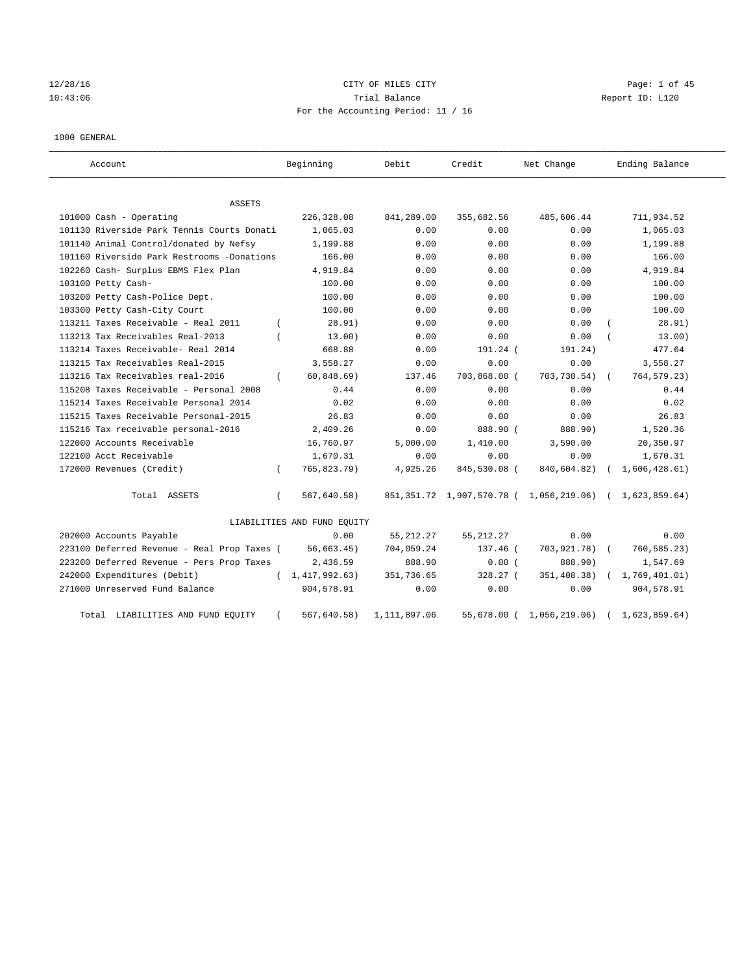# 12/28/16 CITY OF MILES CITY Page: 1 of 45 10:43:06 Trial Balance Report ID: L120 For the Accounting Period: 11 / 16

1000 GENERAL

| Account                                     |          | Beginning                   | Debit        | Credit       | Net Change                                                     | Ending Balance |
|---------------------------------------------|----------|-----------------------------|--------------|--------------|----------------------------------------------------------------|----------------|
| ASSETS                                      |          |                             |              |              |                                                                |                |
| 101000 Cash - Operating                     |          | 226,328.08                  | 841,289.00   | 355,682.56   | 485,606.44                                                     | 711,934.52     |
| 101130 Riverside Park Tennis Courts Donati  |          | 1,065.03                    | 0.00         | 0.00         | 0.00                                                           | 1,065.03       |
| 101140 Animal Control/donated by Nefsy      |          | 1,199.88                    | 0.00         | 0.00         | 0.00                                                           | 1,199.88       |
| 101160 Riverside Park Restrooms -Donations  |          | 166.00                      | 0.00         | 0.00         | 0.00                                                           | 166.00         |
| 102260 Cash- Surplus EBMS Flex Plan         |          | 4,919.84                    | 0.00         | 0.00         | 0.00                                                           | 4,919.84       |
| 103100 Petty Cash-                          |          | 100.00                      | 0.00         | 0.00         | 0.00                                                           | 100.00         |
| 103200 Petty Cash-Police Dept.              |          | 100.00                      | 0.00         | 0.00         | 0.00                                                           | 100.00         |
| 103300 Petty Cash-City Court                |          | 100.00                      | 0.00         | 0.00         | 0.00                                                           | 100.00         |
| 113211 Taxes Receivable - Real 2011         |          | 28.91)                      | 0.00         | 0.00         | 0.00                                                           | 28.91)         |
| 113213 Tax Receivables Real-2013            |          | 13.00)                      | 0.00         | 0.00         | 0.00                                                           | 13.00)         |
| 113214 Taxes Receivable- Real 2014          |          | 668.88                      | 0.00         | 191.24 (     | 191.24)                                                        | 477.64         |
| 113215 Tax Receivables Real-2015            |          | 3,558.27                    | 0.00         | 0.00         | 0.00                                                           | 3,558.27       |
| 113216 Tax Receivables real-2016            | $\left($ | 60, 848.69)                 | 137.46       | 703,868.00 ( | 703,730.54) (                                                  | 764, 579.23)   |
| 115208 Taxes Receivable - Personal 2008     |          | 0.44                        | 0.00         | 0.00         | 0.00                                                           | 0.44           |
| 115214 Taxes Receivable Personal 2014       |          | 0.02                        | 0.00         | 0.00         | 0.00                                                           | 0.02           |
| 115215 Taxes Receivable Personal-2015       |          | 26.83                       | 0.00         | 0.00         | 0.00                                                           | 26.83          |
| 115216 Tax receivable personal-2016         |          | 2,409.26                    | 0.00         | 888.90 (     | 888.90)                                                        | 1,520.36       |
| 122000 Accounts Receivable                  |          | 16,760.97                   | 5,000.00     | 1,410.00     | 3,590.00                                                       | 20,350.97      |
| 122100 Acct Receivable                      |          | 1,670.31                    | 0.00         | 0.00         | 0.00                                                           | 1,670.31       |
| 172000 Revenues (Credit)                    | $\left($ | 765,823.79)                 | 4,925.26     | 845,530.08 ( | 840,604.82)                                                    | 1,606,428.61)  |
| Total ASSETS                                | $\left($ | 567,640.58)                 |              |              | 851, 351.72 1, 907, 570.78 ( 1, 056, 219.06) ( 1, 623, 859.64) |                |
|                                             |          | LIABILITIES AND FUND EQUITY |              |              |                                                                |                |
| 202000 Accounts Payable                     |          | 0.00                        | 55, 212.27   | 55, 212.27   | 0.00                                                           | 0.00           |
| 223100 Deferred Revenue - Real Prop Taxes ( |          | 56,663.45)                  | 704,059.24   | 137.46 (     | 703,921.78)                                                    | 760,585.23)    |
| 223200 Deferred Revenue - Pers Prop Taxes   |          | 2,436.59                    | 888.90       | 0.00(        | 888.90)                                                        | 1,547.69       |
| 242000 Expenditures (Debit)                 |          | (1, 417, 992.63)            | 351,736.65   | 328.27 (     | 351,408.38)                                                    | 1,769,401.01)  |
| 271000 Unreserved Fund Balance              |          | 904,578.91                  | 0.00         | 0.00         | 0.00                                                           | 904,578.91     |
| Total LIABILITIES AND FUND EQUITY           |          | 567,640.58)                 | 1,111,897.06 | 55,678.00 (  | 1,056,219.06)                                                  | 1,623,859.64)  |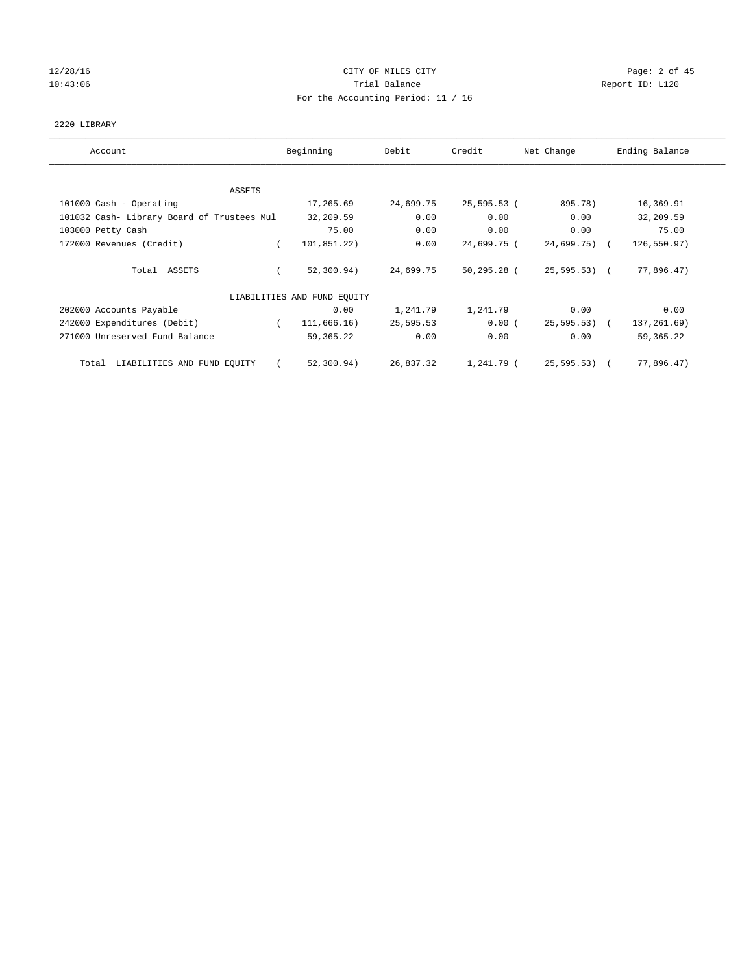# 12/28/16 CITY OF MILES CITY Page: 2 of 45 10:43:06 Report ID: L120 For the Accounting Period: 11 / 16

### 2220 LIBRARY

| Account                                    | Beginning                   | Debit     | Credit      | Net Change      | Ending Balance |
|--------------------------------------------|-----------------------------|-----------|-------------|-----------------|----------------|
| <b>ASSETS</b>                              |                             |           |             |                 |                |
| 101000 Cash - Operating                    | 17,265.69                   | 24,699.75 | 25,595.53 ( | 895.78)         | 16,369.91      |
| 101032 Cash- Library Board of Trustees Mul | 32,209.59                   | 0.00      | 0.00        | 0.00            | 32,209.59      |
| 103000 Petty Cash                          | 75.00                       | 0.00      | 0.00        | 0.00            | 75.00          |
| 172000 Revenues (Credit)                   | 101,851.22)                 | 0.00      | 24,699.75 ( | $24,699.75$ ) ( | 126,550.97)    |
| Total ASSETS                               | 52,300.94)                  | 24,699.75 | 50,295.28 ( | 25,595.53) (    | 77,896.47)     |
|                                            | LIABILITIES AND FUND EQUITY |           |             |                 |                |
| 202000 Accounts Payable                    | 0.00                        | 1,241.79  | 1,241.79    | 0.00            | 0.00           |
| 242000 Expenditures (Debit)                | 111,666.16)<br>$\sqrt{2}$   | 25,595.53 | 0.00(       | $25,595.53$ (   | 137,261.69)    |
| 271000 Unreserved Fund Balance             | 59,365.22                   | 0.00      | 0.00        | 0.00            | 59, 365. 22    |
| Total LIABILITIES AND FUND EQUITY          | 52,300.94)                  | 26,837.32 | 1,241.79 (  | 25,595.53) (    | 77,896.47)     |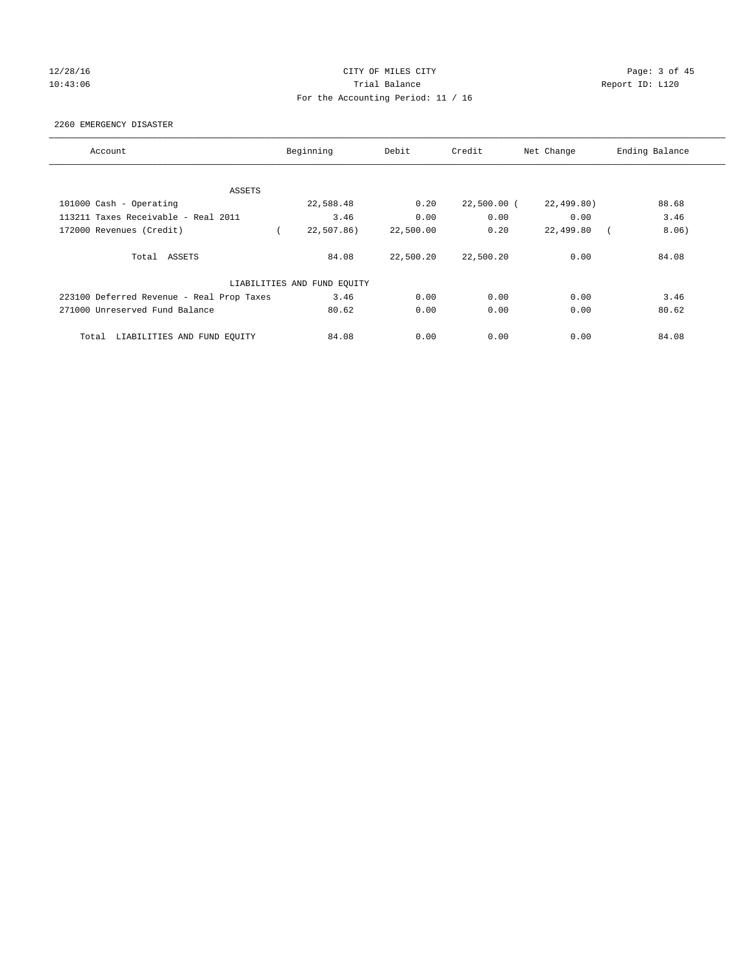# 12/28/16 CITY OF MILES CITY Page: 3 of 45 10:43:06 Trial Balance Report ID: L120 For the Accounting Period: 11 / 16

2260 EMERGENCY DISASTER

| Account                                   | Beginning                   | Debit     | Credit        | Net Change | Ending Balance |
|-------------------------------------------|-----------------------------|-----------|---------------|------------|----------------|
|                                           |                             |           |               |            |                |
| ASSETS                                    |                             |           |               |            |                |
| 101000 Cash - Operating                   | 22,588.48                   | 0.20      | $22,500.00$ ( | 22,499.80) | 88.68          |
| 113211 Taxes Receivable - Real 2011       | 3.46                        | 0.00      | 0.00          | 0.00       | 3.46           |
| 172000 Revenues (Credit)                  | 22,507.86)                  | 22,500.00 | 0.20          | 22,499.80  | 8.06)          |
| Total ASSETS                              | 84.08                       | 22,500.20 | 22,500.20     | 0.00       | 84.08          |
|                                           | LIABILITIES AND FUND EQUITY |           |               |            |                |
| 223100 Deferred Revenue - Real Prop Taxes | 3.46                        | 0.00      | 0.00          | 0.00       | 3.46           |
| 271000 Unreserved Fund Balance            | 80.62                       | 0.00      | 0.00          | 0.00       | 80.62          |
| LIABILITIES AND FUND EQUITY<br>Total      | 84.08                       | 0.00      | 0.00          | 0.00       | 84.08          |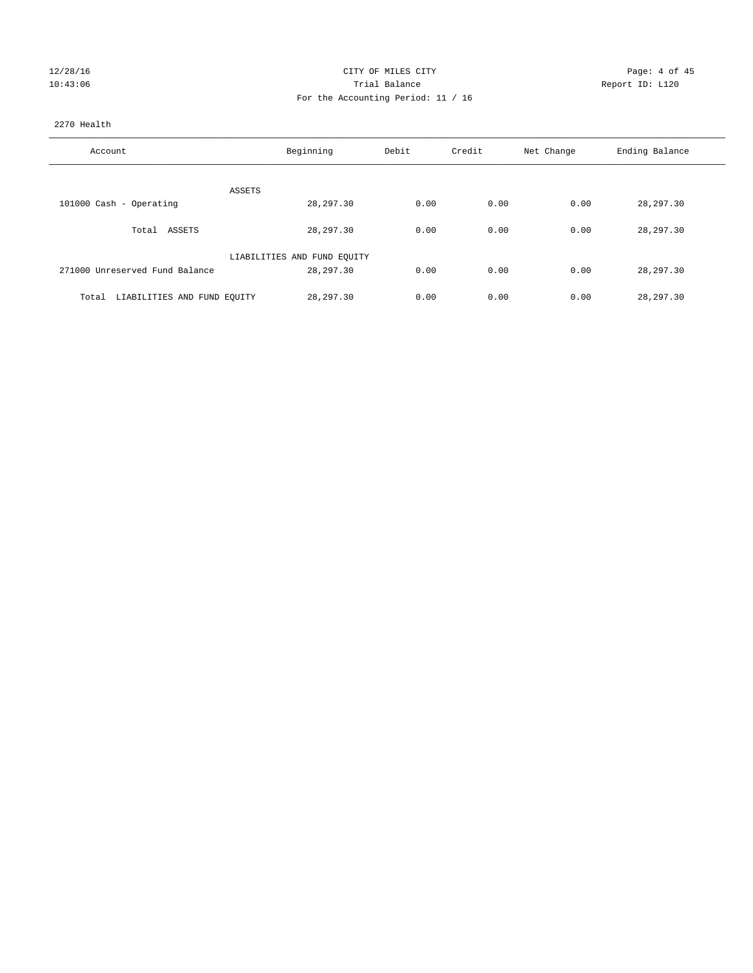| 12/28/16 |  |
|----------|--|
| 10:43:06 |  |

# CITY OF MILES CITY CONTROL CONTROL CITY CONTROL PAGE: 4 of 45 10:43:06 Report ID: L120 For the Accounting Period: 11 / 16

### 2270 Health

| Account                              | Beginning                   | Debit | Credit | Net Change | Ending Balance |
|--------------------------------------|-----------------------------|-------|--------|------------|----------------|
| ASSETS                               |                             |       |        |            |                |
| 101000 Cash - Operating              | 28, 297.30                  | 0.00  | 0.00   | 0.00       | 28, 297.30     |
| Total ASSETS                         | 28, 297.30                  | 0.00  | 0.00   | 0.00       | 28,297.30      |
|                                      | LIABILITIES AND FUND EQUITY |       |        |            |                |
| 271000 Unreserved Fund Balance       | 28, 297.30                  | 0.00  | 0.00   | 0.00       | 28,297.30      |
| LIABILITIES AND FUND EQUITY<br>Total | 28, 297, 30                 | 0.00  | 0.00   | 0.00       | 28,297.30      |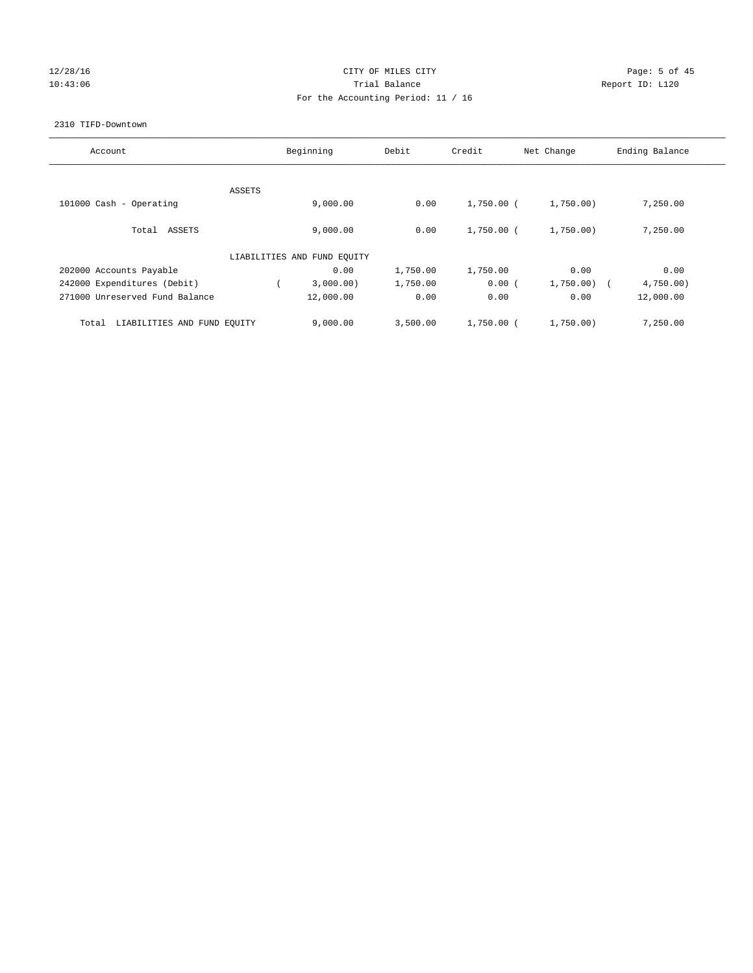# 12/28/16 CITY OF MILES CITY Page: 5 of 45 10:43:06 Report ID: L120 For the Accounting Period: 11 / 16

#### 2310 TIFD-Downtown

| Account                              |        | Beginning                   | Debit    | Credit       | Net Change | Ending Balance |
|--------------------------------------|--------|-----------------------------|----------|--------------|------------|----------------|
|                                      | ASSETS |                             |          |              |            |                |
| 101000 Cash - Operating              |        | 9,000.00                    | 0.00     | $1,750.00$ ( | 1,750.00)  | 7,250.00       |
| Total ASSETS                         |        | 9,000.00                    | 0.00     | $1,750.00$ ( | 1,750.00)  | 7,250.00       |
|                                      |        | LIABILITIES AND FUND EQUITY |          |              |            |                |
| 202000 Accounts Payable              |        | 0.00                        | 1,750.00 | 1,750.00     | 0.00       | 0.00           |
| 242000 Expenditures (Debit)          |        | 3,000.00)                   | 1,750.00 | 0.00(        | 1,750.00)  | 4,750.00       |
| 271000 Unreserved Fund Balance       |        | 12,000.00                   | 0.00     | 0.00         | 0.00       | 12,000.00      |
| LIABILITIES AND FUND EQUITY<br>Total |        | 9,000.00                    | 3,500.00 | $1,750.00$ ( | 1,750.00)  | 7,250.00       |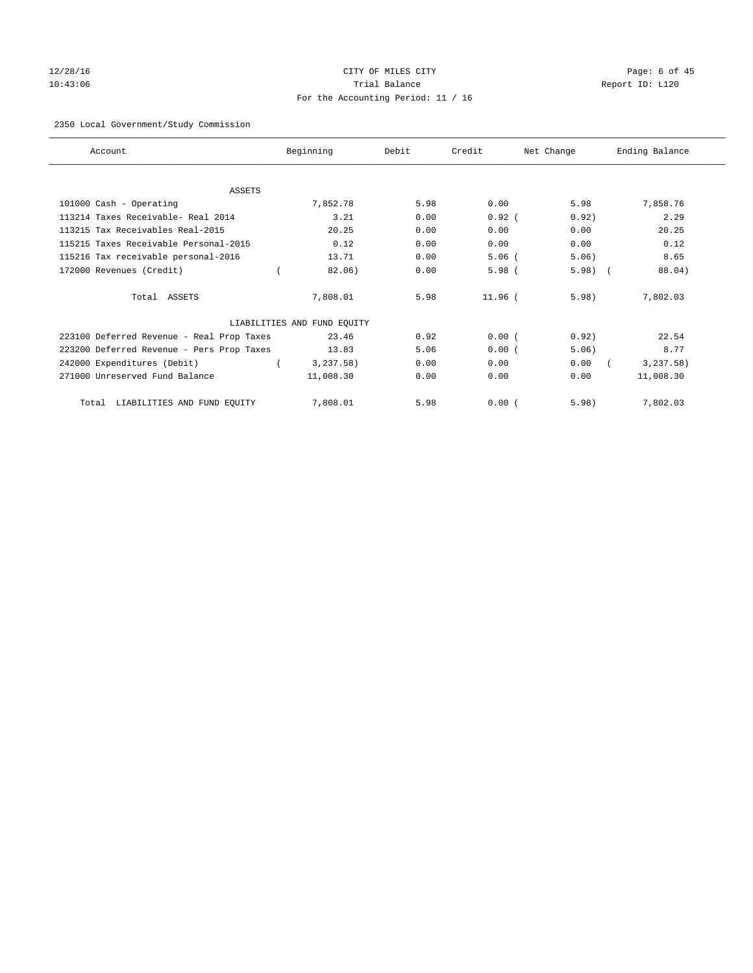# 12/28/16 CITY OF MILES CITY Page: 6 of 45 10:43:06 Trial Balance Report ID: L120 For the Accounting Period: 11 / 16

# 2350 Local Government/Study Commission

| Account                                   | Beginning                   | Debit | Credit    | Net Change | Ending Balance |
|-------------------------------------------|-----------------------------|-------|-----------|------------|----------------|
|                                           |                             |       |           |            |                |
| <b>ASSETS</b>                             |                             |       |           |            |                |
| 101000 Cash - Operating                   | 7,852.78                    | 5.98  | 0.00      | 5.98       | 7,858.76       |
| 113214 Taxes Receivable- Real 2014        | 3.21                        | 0.00  | $0.92$ (  | 0.92)      | 2.29           |
| 113215 Tax Receivables Real-2015          | 20.25                       | 0.00  | 0.00      | 0.00       | 20.25          |
| 115215 Taxes Receivable Personal-2015     | 0.12                        | 0.00  | 0.00      | 0.00       | 0.12           |
| 115216 Tax receivable personal-2016       | 13.71                       | 0.00  | $5.06$ (  | 5.06)      | 8.65           |
| 172000 Revenues (Credit)                  | 82.06)                      | 0.00  | $5.98$ (  | $5.98$ $($ | 88.04)         |
| Total ASSETS                              | 7,808.01                    | 5.98  | $11.96$ ( | 5.98)      | 7,802.03       |
|                                           | LIABILITIES AND FUND EQUITY |       |           |            |                |
| 223100 Deferred Revenue - Real Prop Taxes | 23.46                       | 0.92  | 0.00(     | 0.92)      | 22.54          |
| 223200 Deferred Revenue - Pers Prop Taxes | 13.83                       | 5.06  | 0.00(     | 5.06)      | 8.77           |
| 242000 Expenditures (Debit)               | 3,237.58)                   | 0.00  | 0.00      | 0.00       | 3, 237.58)     |
| 271000 Unreserved Fund Balance            | 11,008.30                   | 0.00  | 0.00      | 0.00       | 11,008.30      |
| LIABILITIES AND FUND EQUITY<br>Total      | 7,808.01                    | 5.98  | 0.00(     | 5.98)      | 7,802.03       |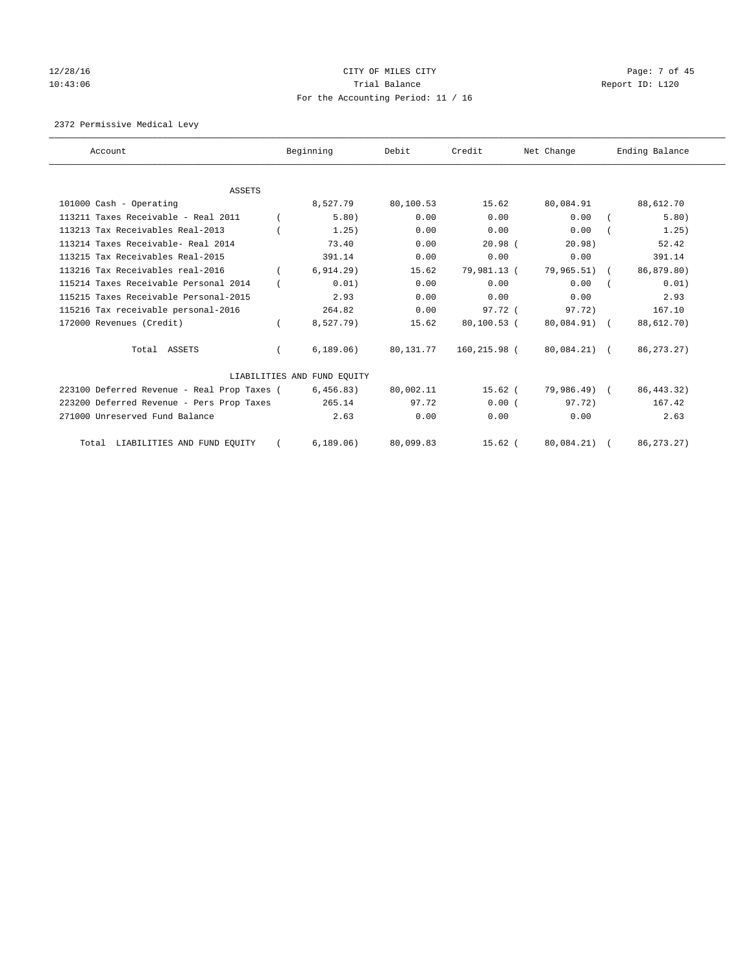# 12/28/16 CITY OF MILES CITY Page: 7 of 45 10:43:06 Report ID: L120 For the Accounting Period: 11 / 16

2372 Permissive Medical Levy

| Account                                     | Beginning                   | Debit     | Credit        | Net Change   | Ending Balance |
|---------------------------------------------|-----------------------------|-----------|---------------|--------------|----------------|
| <b>ASSETS</b>                               |                             |           |               |              |                |
| 101000 Cash - Operating                     | 8,527.79                    | 80,100.53 | 15.62         | 80,084.91    | 88,612.70      |
| 113211 Taxes Receivable - Real 2011         | 5.80)                       | 0.00      | 0.00          | 0.00         | 5.80)          |
| 113213 Tax Receivables Real-2013            | 1.25)                       | 0.00      | 0.00          | 0.00         | 1.25)          |
| 113214 Taxes Receivable- Real 2014          | 73.40                       | 0.00      | $20.98$ $($   | 20.98        | 52.42          |
| 113215 Tax Receivables Real-2015            | 391.14                      | 0.00      | 0.00          | 0.00         | 391.14         |
| 113216 Tax Receivables real-2016            | 6, 914.29)                  | 15.62     | 79,981.13 (   | 79,965.51) ( | 86,879.80)     |
| 115214 Taxes Receivable Personal 2014       | 0.01)                       | 0.00      | 0.00          | 0.00         | 0.01)          |
| 115215 Taxes Receivable Personal-2015       | 2.93                        | 0.00      | 0.00          | 0.00         | 2.93           |
| 115216 Tax receivable personal-2016         | 264.82                      | 0.00      | 97.72 (       | 97.72)       | 167.10         |
| 172000 Revenues (Credit)                    | 8,527.79)                   | 15.62     | $80,100.53$ ( | 80,084.91) ( | 88,612.70)     |
| Total ASSETS                                | 6, 189.06)                  | 80,131.77 | 160,215.98 (  | 80,084.21) ( | 86, 273. 27)   |
|                                             | LIABILITIES AND FUND EQUITY |           |               |              |                |
| 223100 Deferred Revenue - Real Prop Taxes ( | 6,456.83)                   | 80,002.11 | $15.62$ (     | 79,986.49) ( | 86, 443. 32)   |
| 223200 Deferred Revenue - Pers Prop Taxes   | 265.14                      | 97.72     | 0.00(         | 97.72)       | 167.42         |
| 271000 Unreserved Fund Balance              | 2.63                        | 0.00      | 0.00          | 0.00         | 2.63           |
| Total LIABILITIES AND FUND EQUITY           | 6, 189.06)                  | 80,099.83 | $15.62$ (     | 80,084.21)   | 86, 273. 27)   |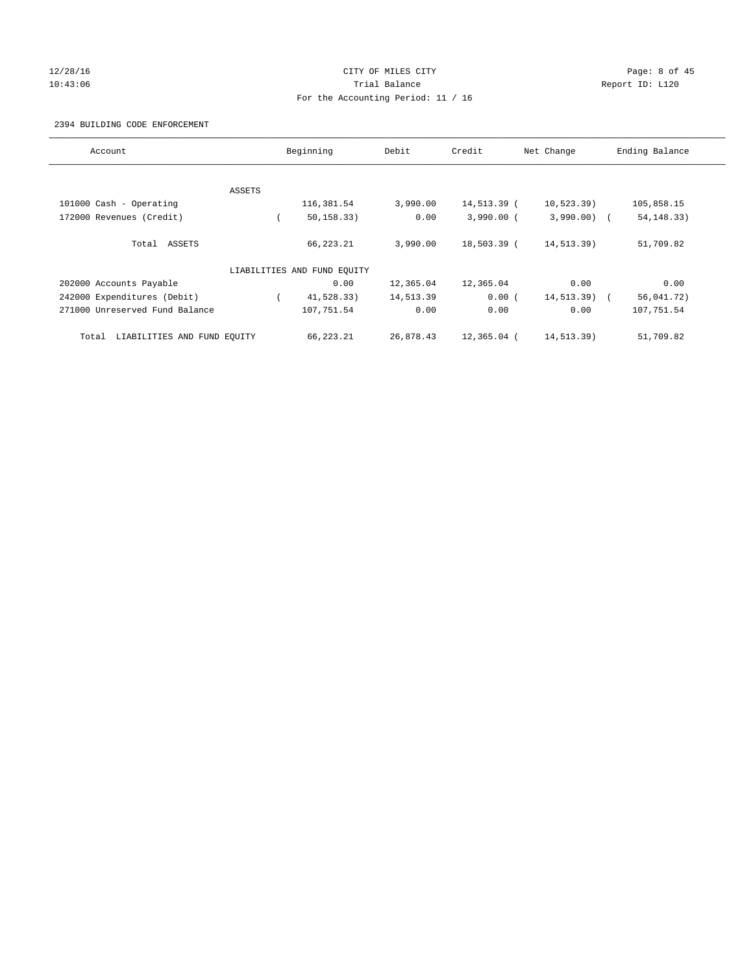# 12/28/16 CITY OF MILES CITY Page: 8 of 45 10:43:06 Trial Balance Report ID: L120 For the Accounting Period: 11 / 16

#### 2394 BUILDING CODE ENFORCEMENT

| Account                              |        | Beginning                   | Debit     | Credit       | Net Change     | Ending Balance |
|--------------------------------------|--------|-----------------------------|-----------|--------------|----------------|----------------|
|                                      |        |                             |           |              |                |                |
|                                      | ASSETS |                             |           |              |                |                |
| 101000 Cash - Operating              |        | 116,381.54                  | 3,990.00  | 14,513.39 (  | 10, 523.39)    | 105,858.15     |
| 172000 Revenues (Credit)             |        | 50, 158.33)                 | 0.00      | $3,990.00$ ( | $3,990.00)$ (  | 54, 148. 33)   |
| Total ASSETS                         |        | 66,223.21                   | 3,990.00  | 18,503.39 (  | 14,513.39)     | 51,709.82      |
|                                      |        | LIABILITIES AND FUND EQUITY |           |              |                |                |
| 202000 Accounts Payable              |        | 0.00                        | 12,365.04 | 12,365.04    | 0.00           | 0.00           |
| 242000 Expenditures (Debit)          |        | 41,528.33)                  | 14,513.39 | 0.00(        | $14, 513.39$ ( | 56,041.72)     |
| 271000 Unreserved Fund Balance       |        | 107,751.54                  | 0.00      | 0.00         | 0.00           | 107,751.54     |
| LIABILITIES AND FUND EQUITY<br>Total |        | 66,223.21                   | 26,878.43 | 12,365.04 (  | 14,513.39)     | 51,709.82      |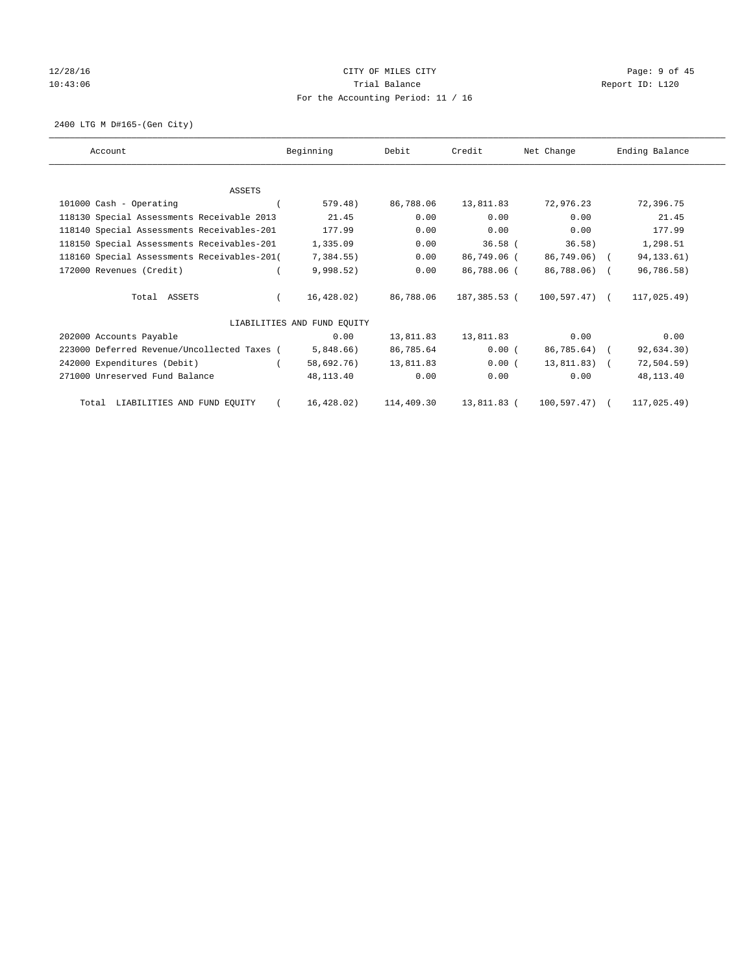# 12/28/16 CITY OF MILES CITY Page: 9 of 45 10:43:06 Trial Balance Report ID: L120 For the Accounting Period: 11 / 16

2400 LTG M D#165-(Gen City)

| Account                                     | Beginning                   | Debit      | Credit       | Net Change         | Ending Balance |
|---------------------------------------------|-----------------------------|------------|--------------|--------------------|----------------|
|                                             |                             |            |              |                    |                |
| <b>ASSETS</b>                               |                             |            |              |                    |                |
| 101000 Cash - Operating                     | 579.48)                     | 86,788.06  | 13,811.83    | 72,976.23          | 72,396.75      |
| 118130 Special Assessments Receivable 2013  | 21.45                       | 0.00       | 0.00         | 0.00               | 21.45          |
| 118140 Special Assessments Receivables-201  | 177.99                      | 0.00       | 0.00         | 0.00               | 177.99         |
| 118150 Special Assessments Receivables-201  | 1,335.09                    | 0.00       | $36.58$ (    | 36.58)             | 1,298.51       |
| 118160 Special Assessments Receivables-201( | 7,384.55)                   | 0.00       | 86,749.06 (  | 86,749.06) (       | 94, 133.61)    |
| 172000 Revenues (Credit)                    | 9,998.52)                   | 0.00       | 86,788.06 (  | 86,788.06) (       | 96,786.58)     |
| Total ASSETS                                | 16,428.02)                  | 86,788.06  | 187,385.53 ( | $100, 597, 47$ ) ( | 117,025.49)    |
|                                             | LIABILITIES AND FUND EQUITY |            |              |                    |                |
| 202000 Accounts Payable                     | 0.00                        | 13,811.83  | 13,811.83    | 0.00               | 0.00           |
| 223000 Deferred Revenue/Uncollected Taxes ( | 5,848.66)                   | 86,785.64  | 0.00(        | 86,785.64) (       | 92,634.30)     |
| 242000 Expenditures (Debit)                 | 58,692.76)                  | 13,811.83  | 0.00(        | $13.811.83$ (      | $72, 504.59$ ) |
| 271000 Unreserved Fund Balance              | 48,113.40                   | 0.00       | 0.00         | 0.00               | 48,113.40      |
| Total LIABILITIES AND FUND EQUITY           | 16,428.02)                  | 114,409.30 | 13,811.83 (  | 100,597.47)        | 117,025.49)    |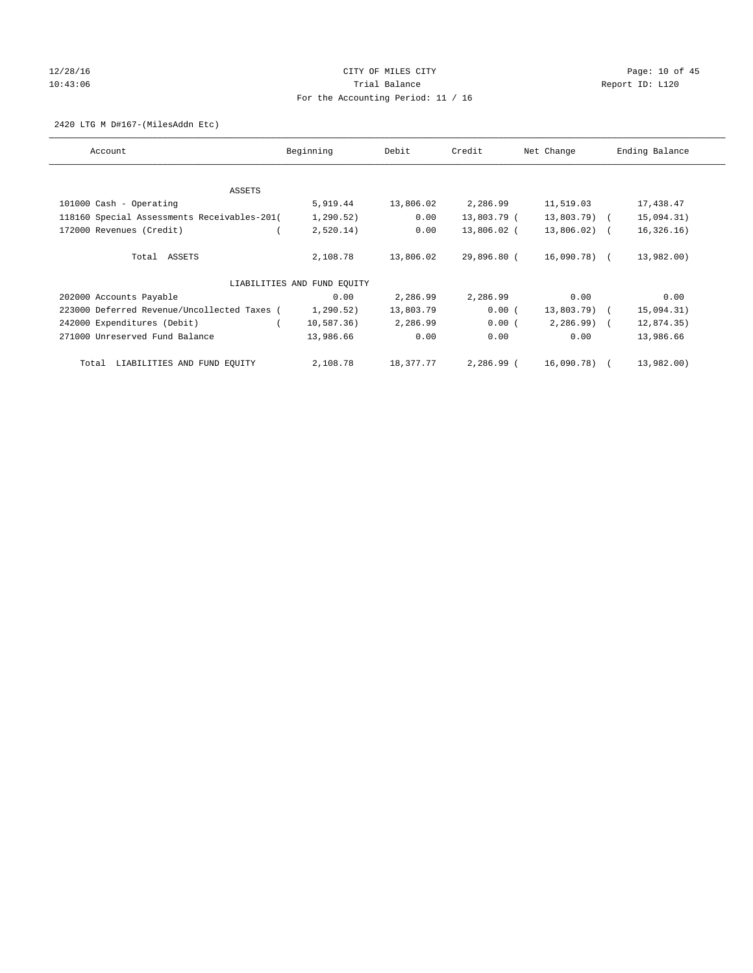# 12/28/16 Page: 10 of 45 10:43:06 Trial Balance Report ID: L120 For the Accounting Period: 11 / 16

2420 LTG M D#167-(MilesAddn Etc)

| Account                                     | Beginning                   | Debit     | Credit      | Net Change   | Ending Balance |
|---------------------------------------------|-----------------------------|-----------|-------------|--------------|----------------|
| ASSETS                                      |                             |           |             |              |                |
| 101000 Cash - Operating                     | 5,919.44                    | 13,806.02 | 2,286.99    | 11,519.03    | 17,438.47      |
| 118160 Special Assessments Receivables-201( | 1, 290.52)                  | 0.00      | 13,803.79 ( | 13,803.79) ( | 15,094.31)     |
| 172000 Revenues (Credit)                    | 2,520.14)                   | 0.00      | 13,806.02 ( | 13,806.02) ( | 16, 326.16)    |
| Total ASSETS                                | 2,108.78                    | 13,806.02 | 29,896.80 ( | 16,090.78) ( | 13,982.00)     |
|                                             | LIABILITIES AND FUND EQUITY |           |             |              |                |
| 202000 Accounts Payable                     | 0.00                        | 2,286.99  | 2,286.99    | 0.00         | 0.00           |
| 223000 Deferred Revenue/Uncollected Taxes ( | 1,290.52)                   | 13,803.79 | 0.00(       | 13,803.79) ( | 15,094.31)     |
| 242000 Expenditures (Debit)                 | 10,587.36)                  | 2,286.99  | 0.00(       | $2,286.99$ ( | 12,874.35)     |
| 271000 Unreserved Fund Balance              | 13,986.66                   | 0.00      | 0.00        | 0.00         | 13,986.66      |
| LIABILITIES AND FUND EQUITY<br>Total        | 2,108.78                    | 18,377.77 | 2,286.99 (  | 16,090.78) ( | 13,982.00)     |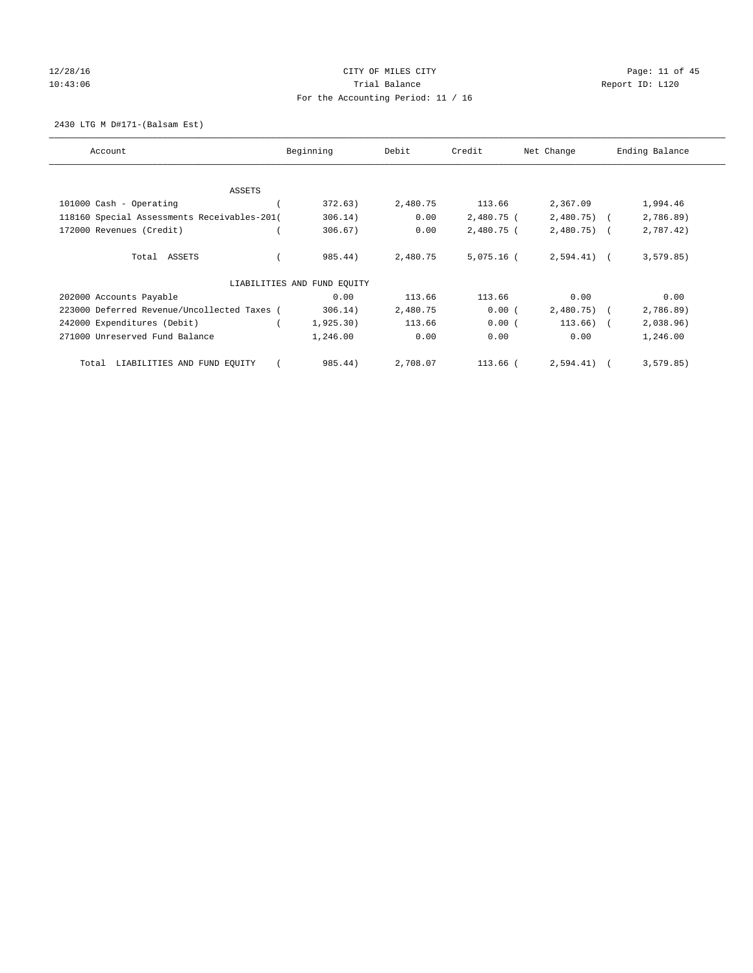# 12/28/16 Page: 11 of 45 10:43:06 Report ID: L120 For the Accounting Period: 11 / 16

2430 LTG M D#171-(Balsam Est)

| Account                                     | Beginning                   | Debit    | Credit       | Net Change   | Ending Balance |
|---------------------------------------------|-----------------------------|----------|--------------|--------------|----------------|
| ASSETS                                      |                             |          |              |              |                |
| 101000 Cash - Operating                     | 372.63)                     | 2,480.75 | 113.66       | 2,367.09     | 1,994.46       |
| 118160 Special Assessments Receivables-201( | 306.14)                     | 0.00     | 2,480.75 (   | $2,480.75$ ( | 2,786.89)      |
| 172000 Revenues (Credit)                    | 306.67)                     | 0.00     | 2,480.75 (   | $2,480.75$ ( | 2,787.42)      |
| Total ASSETS                                | 985.44)                     | 2,480.75 | $5.075.16$ ( | $2,594.41$ ( | 3, 579.85)     |
|                                             | LIABILITIES AND FUND EQUITY |          |              |              |                |
| 202000 Accounts Payable                     | 0.00                        | 113.66   | 113.66       | 0.00         | 0.00           |
| 223000 Deferred Revenue/Uncollected Taxes ( | 306.14)                     | 2,480.75 | 0.00(        | $2,480.75$ ( | 2,786.89)      |
| 242000 Expenditures (Debit)                 | 1,925.30)                   | 113.66   | 0.00(        | $113.66$ ) ( | 2,038.96)      |
| 271000 Unreserved Fund Balance              | 1,246.00                    | 0.00     | 0.00         | 0.00         | 1,246.00       |
| LIABILITIES AND FUND EQUITY<br>Total        | 985.44)                     | 2,708.07 | $113.66$ (   | 2,594.41)    | 3, 579.85)     |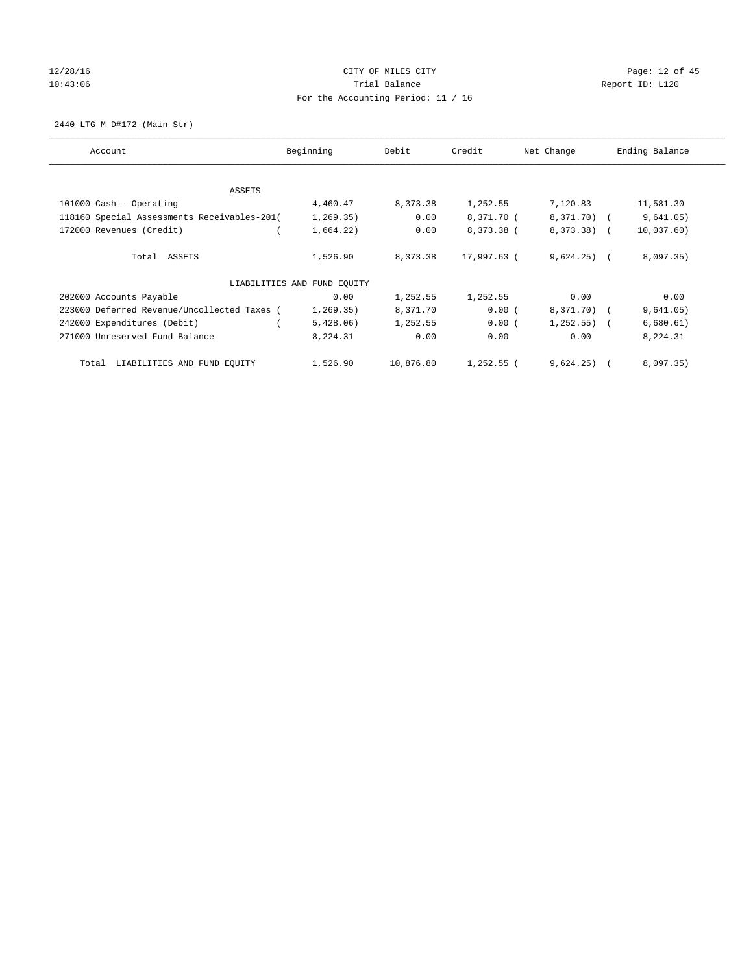# 12/28/16 Page: 12 of 45 10:43:06 Report ID: L120 For the Accounting Period: 11 / 16

2440 LTG M D#172-(Main Str)

| Account                                     | Beginning                   | Debit      | Credit      | Net Change     | Ending Balance |
|---------------------------------------------|-----------------------------|------------|-------------|----------------|----------------|
| ASSETS                                      |                             |            |             |                |                |
| 101000 Cash - Operating                     | 4,460.47                    | 8,373.38   | 1,252.55    | 7,120.83       | 11,581.30      |
| 118160 Special Assessments Receivables-201( | 1, 269.35)                  | 0.00       | 8,371.70 (  | 8,371.70) (    | 9,641.05)      |
| 172000 Revenues (Credit)                    | 1,664.22)                   | 0.00       | 8,373.38 (  | 8,373.38) (    | 10,037.60)     |
| Total ASSETS                                | 1,526.90                    | 8, 373, 38 | 17,997.63 ( | $9,624.25$ (   | 8,097.35)      |
|                                             | LIABILITIES AND FUND EQUITY |            |             |                |                |
| 202000 Accounts Payable                     | 0.00                        | 1,252.55   | 1,252.55    | 0.00           | 0.00           |
| 223000 Deferred Revenue/Uncollected Taxes ( | 1, 269.35)                  | 8,371.70   | 0.00(       | 8,371.70) (    | 9,641.05)      |
| 242000 Expenditures (Debit)                 | 5,428.06)                   | 1,252.55   | 0.00(       | $1,252.55$ ) ( | 6,680.61)      |
| 271000 Unreserved Fund Balance              | 8,224.31                    | 0.00       | 0.00        | 0.00           | 8,224.31       |
| LIABILITIES AND FUND EQUITY<br>Total        | 1,526.90                    | 10,876.80  | 1,252.55 (  | $9,624.25$ (   | 8,097.35)      |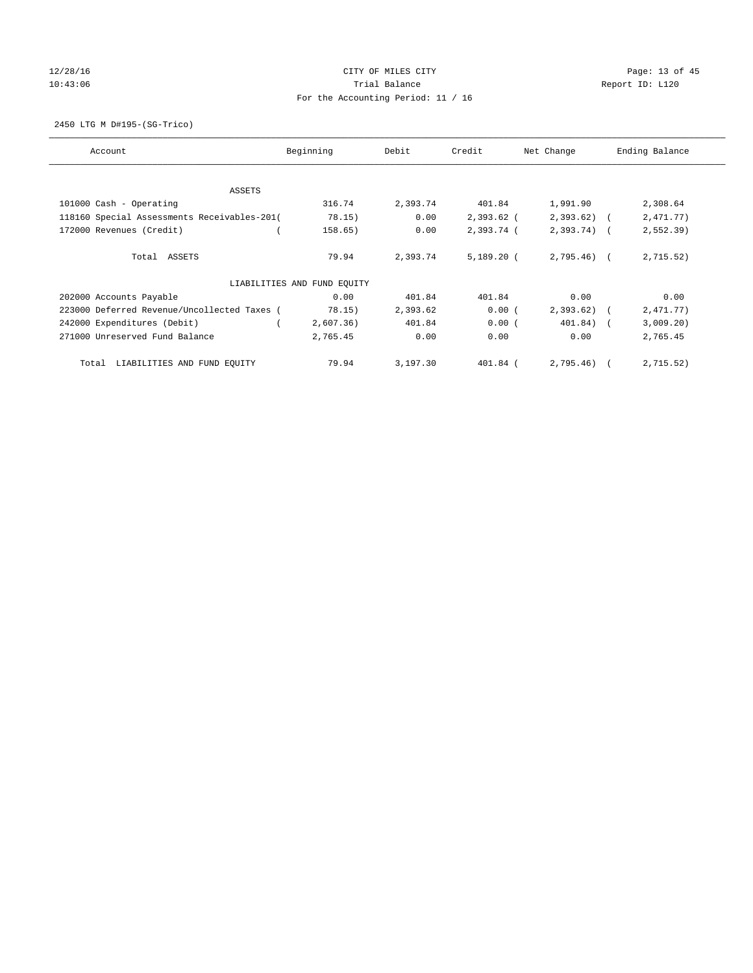# 12/28/16 Page: 13 of 45 10:43:06 Report ID: L120 For the Accounting Period: 11 / 16

2450 LTG M D#195-(SG-Trico)

| Account                                     | Beginning                   | Debit<br>Credit |              | Net Change   | Ending Balance |  |
|---------------------------------------------|-----------------------------|-----------------|--------------|--------------|----------------|--|
| ASSETS                                      |                             |                 |              |              |                |  |
| 101000 Cash - Operating                     | 316.74                      | 2,393.74        | 401.84       | 1,991.90     | 2,308.64       |  |
| 118160 Special Assessments Receivables-201( | 78.15)                      | 0.00            | $2,393.62$ ( | $2,393.62$ ( | 2,471.77)      |  |
| 172000 Revenues (Credit)                    | 158.65)                     | 0.00            | 2,393.74 (   | $2,393.74$ ( | 2,552.39       |  |
| Total ASSETS                                | 79.94                       | 2,393.74        | $5,189.20$ ( | $2,795.46$ ( | 2,715.52)      |  |
|                                             | LIABILITIES AND FUND EQUITY |                 |              |              |                |  |
| 202000 Accounts Payable                     | 0.00                        | 401.84          | 401.84       | 0.00         | 0.00           |  |
| 223000 Deferred Revenue/Uncollected Taxes ( | 78.15)                      | 2,393.62        | 0.00(        | $2,393.62$ ( | 2,471.77)      |  |
| 242000 Expenditures (Debit)                 | 2,607.36)                   | 401.84          | 0.00(        | 401.84) (    | 3,009.20)      |  |
| 271000 Unreserved Fund Balance              | 2,765.45                    | 0.00            | 0.00         | 0.00         | 2,765.45       |  |
| LIABILITIES AND FUND EQUITY<br>Total        | 79.94                       | 3,197.30        | 401.84 (     | 2,795.46)    | 2,715.52)      |  |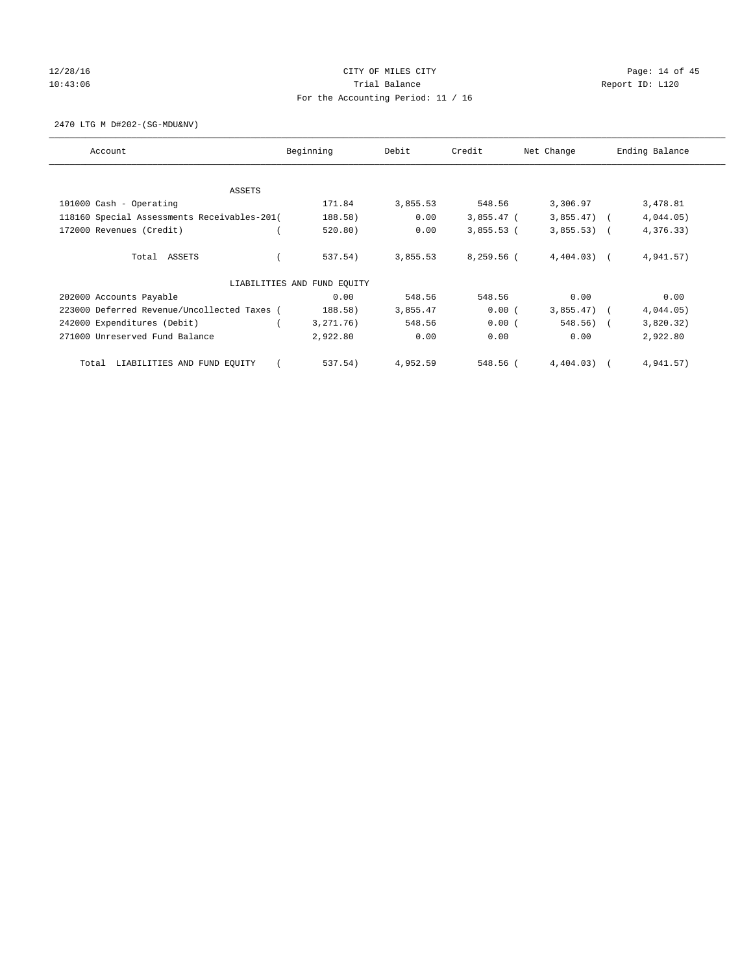# $12/28/16$  Page: 14 of 45 10:43:06 Report ID: L120 For the Accounting Period: 11 / 16

2470 LTG M D#202-(SG-MDU&NV)

| Account                                     | Beginning                   | Debit    | Credit       | Net Change   | Ending Balance |
|---------------------------------------------|-----------------------------|----------|--------------|--------------|----------------|
| ASSETS                                      |                             |          |              |              |                |
| 101000 Cash - Operating                     | 171.84                      | 3,855.53 | 548.56       | 3,306.97     | 3,478.81       |
| 118160 Special Assessments Receivables-201( | 188.58)                     | 0.00     | $3,855.47$ ( | $3,855.47$ ( | 4,044.05)      |
| 172000 Revenues (Credit)                    | 520.80)                     | 0.00     | $3,855.53$ ( | $3,855.53$ ( | 4,376.33)      |
| Total ASSETS                                | 537.54)                     | 3,855.53 | 8,259.56 (   | $4,404.03$ ( | 4,941.57)      |
|                                             | LIABILITIES AND FUND EQUITY |          |              |              |                |
| 202000 Accounts Payable                     | 0.00                        | 548.56   | 548.56       | 0.00         | 0.00           |
| 223000 Deferred Revenue/Uncollected Taxes ( | 188.58)                     | 3,855.47 | 0.00(        | $3,855.47$ ( | 4,044.05)      |
| 242000 Expenditures (Debit)                 | 3, 271. 76)                 | 548.56   | 0.00(        | 548.56)      | 3,820.32)      |
| 271000 Unreserved Fund Balance              | 2,922.80                    | 0.00     | 0.00         | 0.00         | 2,922.80       |
| LIABILITIES AND FUND EQUITY<br>Total        | 537.54)                     | 4,952.59 | 548.56 (     | $4,404.03$ ( | 4,941.57)      |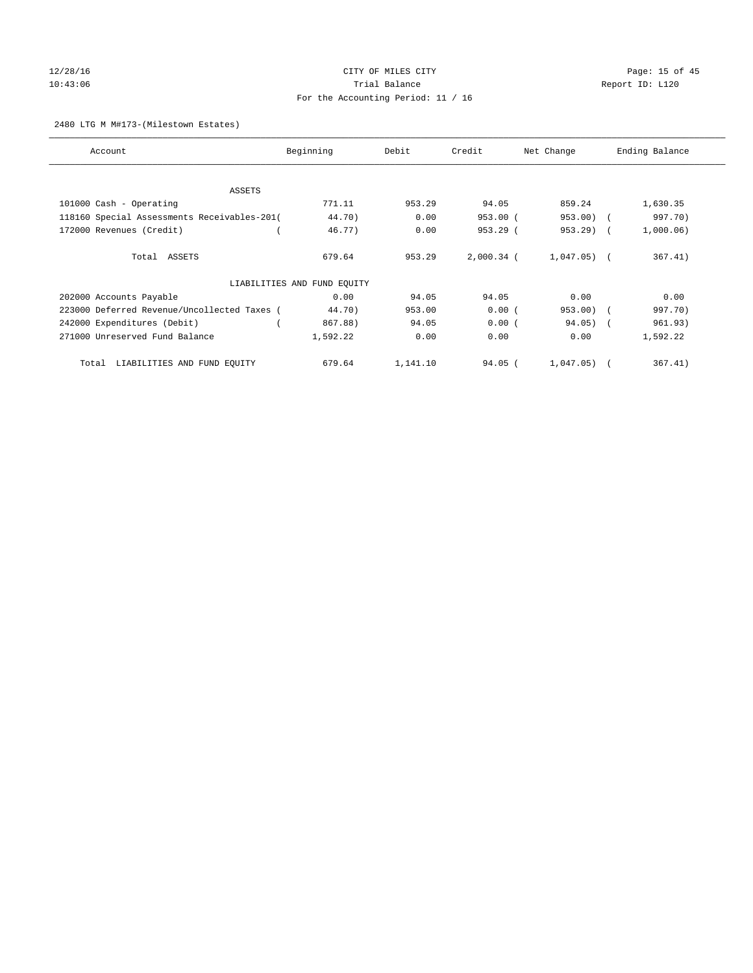# 12/28/16 Page: 15 of 45 10:43:06 Report ID: L120 For the Accounting Period: 11 / 16

#### 2480 LTG M M#173-(Milestown Estates)

| Account                                     | Beginning                   | Debit<br>Credit |              | Net Change   | Ending Balance |  |
|---------------------------------------------|-----------------------------|-----------------|--------------|--------------|----------------|--|
| ASSETS                                      |                             |                 |              |              |                |  |
| 101000 Cash - Operating                     | 771.11                      | 953.29          | 94.05        | 859.24       | 1,630.35       |  |
| 118160 Special Assessments Receivables-201( | 44.70)                      | 0.00            | $953.00$ (   | 953.00)      | 997.70)        |  |
| 172000 Revenues (Credit)                    | 46.77)                      | 0.00            | $953.29$ (   | $953.29$ (   | 1,000.06)      |  |
| Total ASSETS                                | 679.64                      | 953.29          | $2,000.34$ ( | $1,047.05$ ( | 367.41)        |  |
|                                             | LIABILITIES AND FUND EQUITY |                 |              |              |                |  |
| 202000 Accounts Payable                     | 0.00                        | 94.05           | 94.05        | 0.00         | 0.00           |  |
| 223000 Deferred Revenue/Uncollected Taxes ( | 44.70)                      | 953.00          | 0.00(        | $953.00$ (   | 997.70)        |  |
| 242000 Expenditures (Debit)                 | 867.88)                     | 94.05           | 0.00(        | $94.05)$ (   | 961.93)        |  |
| 271000 Unreserved Fund Balance              | 1,592.22                    | 0.00            | 0.00         | 0.00         | 1,592.22       |  |
| LIABILITIES AND FUND EQUITY<br>Total        | 679.64                      | 1,141.10        | $94.05$ (    | 1,047.05)    | 367.41)        |  |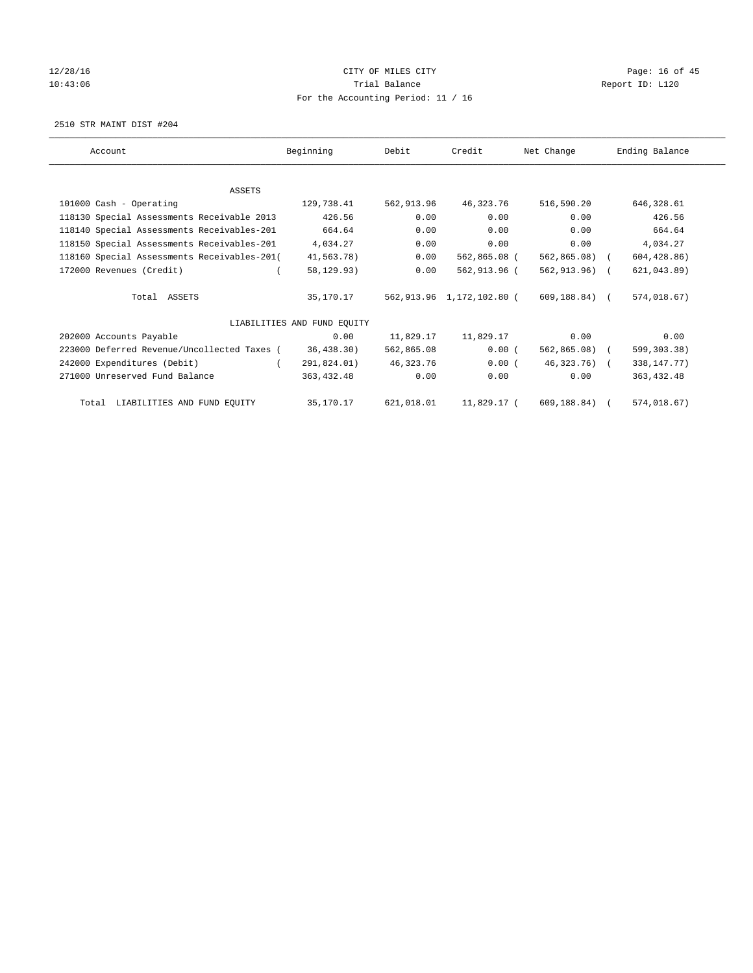# $12/28/16$  Page: 16 of 45 10:43:06 Report ID: L120 For the Accounting Period: 11 / 16

2510 STR MAINT DIST #204

| Account                                     | Beginning                   | Debit      | Credit                    | Net Change     | Ending Balance |
|---------------------------------------------|-----------------------------|------------|---------------------------|----------------|----------------|
|                                             |                             |            |                           |                |                |
| <b>ASSETS</b>                               |                             |            |                           |                |                |
| 101000 Cash - Operating                     | 129,738.41                  | 562,913.96 | 46,323.76                 | 516,590.20     | 646,328.61     |
| 118130 Special Assessments Receivable 2013  | 426.56                      | 0.00       | 0.00                      | 0.00           | 426.56         |
| 118140 Special Assessments Receivables-201  | 664.64                      | 0.00       | 0.00                      | 0.00           | 664.64         |
| 118150 Special Assessments Receivables-201  | 4,034.27                    | 0.00       | 0.00                      | 0.00           | 4,034.27       |
| 118160 Special Assessments Receivables-201( | 41,563.78)                  | 0.00       | 562,865.08 (              | $562,865.08$ ( | 604, 428.86)   |
| 172000 Revenues (Credit)                    | 58,129.93)                  | 0.00       | 562,913.96 (              | 562,913.96) (  | 621,043.89)    |
| Total ASSETS                                | 35,170.17                   |            | 562,913.96 1,172,102.80 ( | 609,188.84) (  | 574,018.67)    |
|                                             | LIABILITIES AND FUND EQUITY |            |                           |                |                |
| 202000 Accounts Payable                     | 0.00                        | 11,829.17  | 11,829.17                 | 0.00           | 0.00           |
| 223000 Deferred Revenue/Uncollected Taxes ( | 36,438.30)                  | 562,865.08 | 0.00(                     | 562,865.08) (  | 599,303.38)    |
| 242000 Expenditures (Debit)                 | 291,824.01)                 | 46,323.76  | 0.00(                     | $46,323.76$ (  | 338, 147. 77)  |
| 271000 Unreserved Fund Balance              | 363,432.48                  | 0.00       | 0.00                      | 0.00           | 363, 432.48    |
| Total LIABILITIES AND FUND EQUITY           | 35,170.17                   | 621,018.01 | 11,829.17 (               | 609,188.84) (  | 574,018.67)    |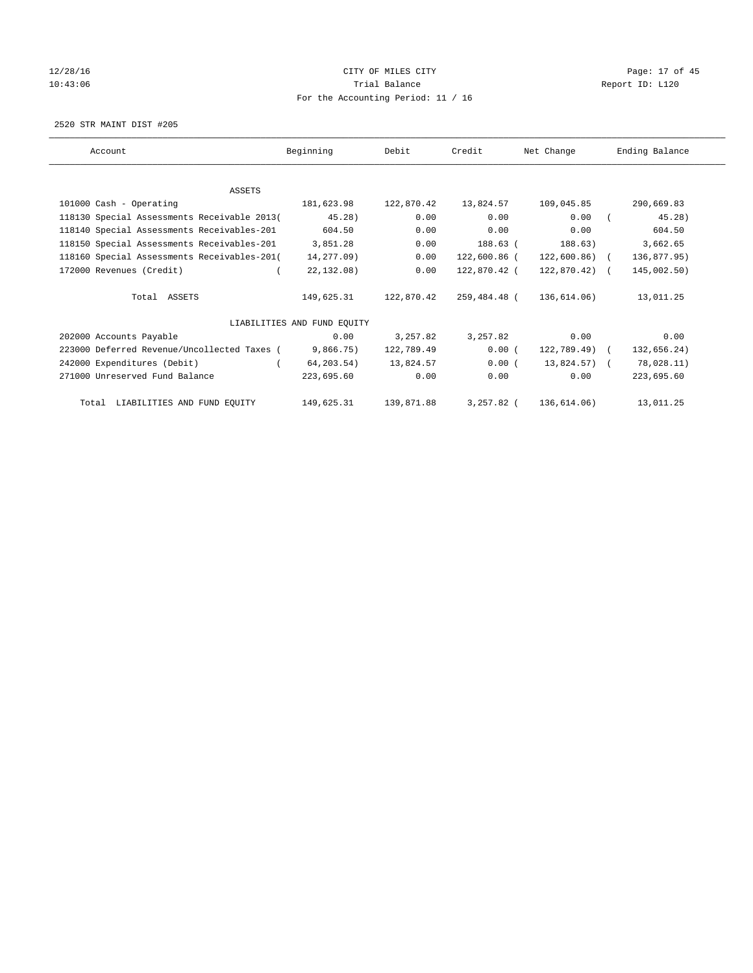# 12/28/16 Page: 17 of 45 10:43:06 Report ID: L120 For the Accounting Period: 11 / 16

2520 STR MAINT DIST #205

| Account                                     | Beginning                   | Debit      | Credit       | Net Change     | Ending Balance |
|---------------------------------------------|-----------------------------|------------|--------------|----------------|----------------|
|                                             |                             |            |              |                |                |
| <b>ASSETS</b>                               |                             |            |              |                |                |
| 101000 Cash - Operating                     | 181,623.98                  | 122,870.42 | 13,824.57    | 109,045.85     | 290,669.83     |
| 118130 Special Assessments Receivable 2013( | 45.28)                      | 0.00       | 0.00         | 0.00           | 45.28)         |
| 118140 Special Assessments Receivables-201  | 604.50                      | 0.00       | 0.00         | 0.00           | 604.50         |
| 118150 Special Assessments Receivables-201  | 3,851.28                    | 0.00       | 188.63 (     | 188.63)        | 3,662.65       |
| 118160 Special Assessments Receivables-201( | 14,277.09)                  | 0.00       | 122,600.86 ( | $122,600.86$ ( | 136,877.95)    |
| 172000 Revenues (Credit)                    | 22,132.08)                  | 0.00       | 122,870.42 ( | $122,870.42$ ( | 145,002.50)    |
| Total ASSETS                                | 149,625.31                  | 122,870.42 | 259,484.48 ( | 136,614.06)    | 13,011.25      |
|                                             | LIABILITIES AND FUND EQUITY |            |              |                |                |
| 202000 Accounts Payable                     | 0.00                        | 3,257.82   | 3,257.82     | 0.00           | 0.00           |
| 223000 Deferred Revenue/Uncollected Taxes ( | 9,866.75)                   | 122,789.49 | 0.00(        | $122,789.49$ ( | 132,656.24)    |
| 242000 Expenditures (Debit)                 | 64,203.54)                  | 13,824.57  | 0.00(        | 13,824.57) (   | 78,028.11)     |
| 271000 Unreserved Fund Balance              | 223,695.60                  | 0.00       | 0.00         | 0.00           | 223,695.60     |
| Total LIABILITIES AND FUND EQUITY           | 149,625.31                  | 139,871.88 | 3,257.82 (   | 136,614.06)    | 13,011.25      |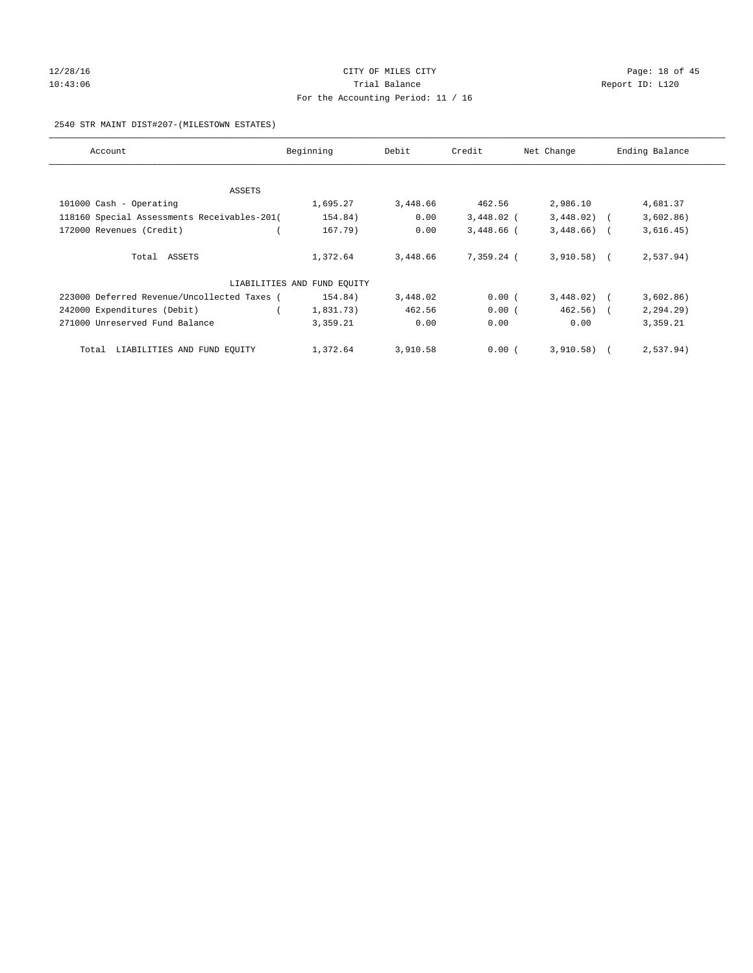# $12/28/16$  Page: 18 of 45 10:43:06 Report ID: L120 For the Accounting Period: 11 / 16

#### 2540 STR MAINT DIST#207-(MILESTOWN ESTATES)

| Account                                     | Beginning                   | Debit    | Credit       | Net Change   | Ending Balance |
|---------------------------------------------|-----------------------------|----------|--------------|--------------|----------------|
|                                             |                             |          |              |              |                |
| ASSETS                                      |                             |          |              |              |                |
| 101000 Cash - Operating                     | 1,695.27                    | 3,448.66 | 462.56       | 2,986.10     | 4,681.37       |
| 118160 Special Assessments Receivables-201( | 154.84)                     | 0.00     | $3,448.02$ ( | $3,448.02$ ( | 3,602.86)      |
| 172000 Revenues (Credit)                    | 167.79)                     | 0.00     | $3,448.66$ ( | $3,448.66$ ( | 3,616.45)      |
| Total ASSETS                                | 1,372.64                    | 3,448.66 | 7,359.24 (   | $3,910.58$ ( | 2,537.94)      |
|                                             | LIABILITIES AND FUND EQUITY |          |              |              |                |
| 223000 Deferred Revenue/Uncollected Taxes ( | 154.84)                     | 3,448.02 | 0.00(        | 3,448.02)    | 3,602.86)      |
| 242000 Expenditures (Debit)                 | 1,831.73)                   | 462.56   | 0.00(        | $462.56$ ) ( | 2, 294.29      |
| 271000 Unreserved Fund Balance              | 3,359.21                    | 0.00     | 0.00         | 0.00         | 3,359.21       |
| LIABILITIES AND FUND EQUITY<br>Total        | 1,372.64                    | 3,910.58 | 0.00(        | 3,910.58)    | 2,537.94)      |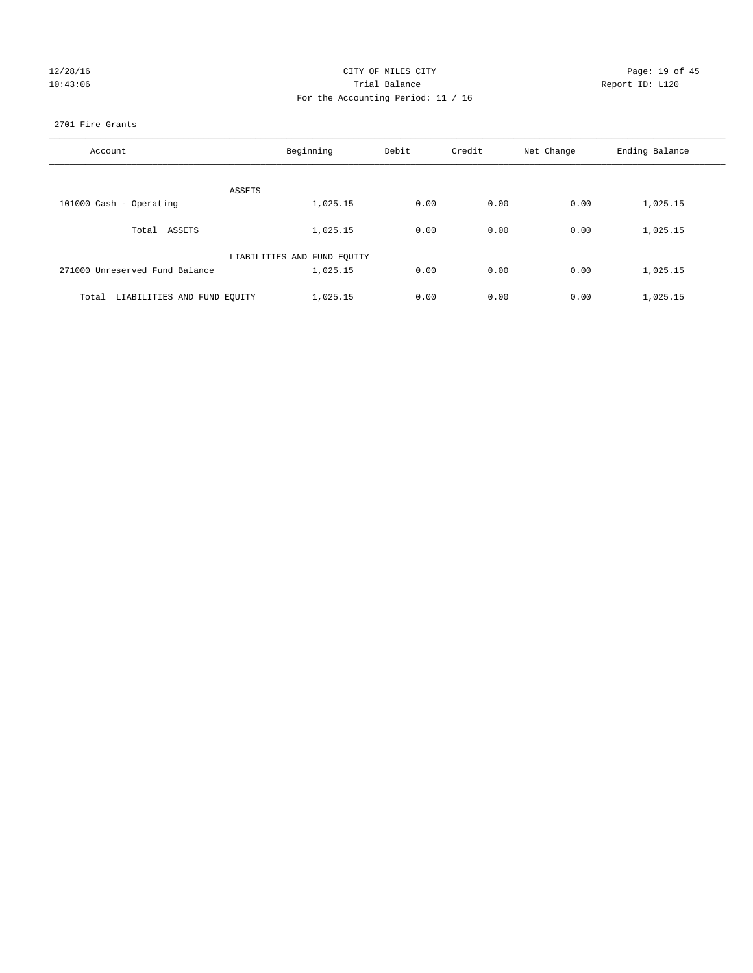| 12/28/16 |  |
|----------|--|
| 10:43:06 |  |

# CITY OF MILES CITY CONTROL CONTROL CITY CONTROL Page: 19 of 45 10:43:06 Report ID: L120 For the Accounting Period: 11 / 16

#### 2701 Fire Grants

| Account                              | Beginning                   | Debit | Credit | Net Change | Ending Balance |
|--------------------------------------|-----------------------------|-------|--------|------------|----------------|
| ASSETS                               |                             |       |        |            |                |
| 101000 Cash - Operating              | 1,025.15                    | 0.00  | 0.00   | 0.00       | 1,025.15       |
| Total ASSETS                         | 1,025.15                    | 0.00  | 0.00   | 0.00       | 1,025.15       |
|                                      | LIABILITIES AND FUND EQUITY |       |        |            |                |
| 271000 Unreserved Fund Balance       | 1,025.15                    | 0.00  | 0.00   | 0.00       | 1,025.15       |
| LIABILITIES AND FUND EQUITY<br>Total | 1,025.15                    | 0.00  | 0.00   | 0.00       | 1,025.15       |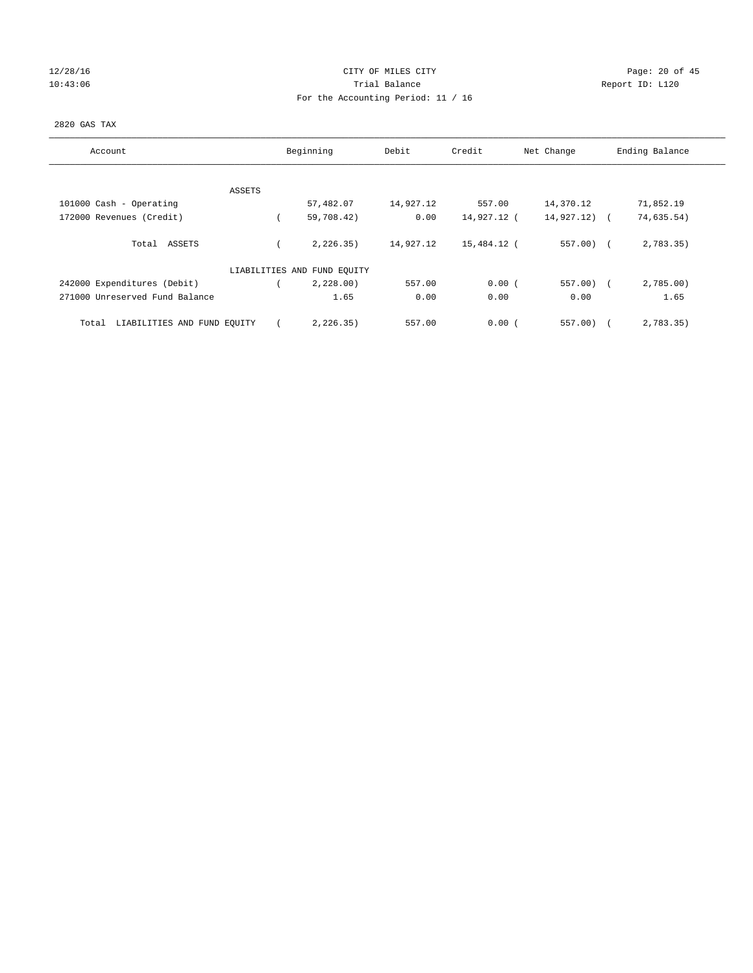# $12/28/16$  Page: 20 of 45 10:43:06 Report ID: L120 For the Accounting Period: 11 / 16

### 2820 GAS TAX

| Account                              | Beginning                   | Debit     | Credit      | Net Change   | Ending Balance           |
|--------------------------------------|-----------------------------|-----------|-------------|--------------|--------------------------|
|                                      |                             |           |             |              |                          |
| ASSETS                               |                             |           |             |              |                          |
| 101000 Cash - Operating              | 57,482.07                   | 14,927.12 | 557.00      | 14,370.12    | 71,852.19                |
| 172000 Revenues (Credit)             | 59,708.42)                  | 0.00      | 14,927.12 ( | 14,927.12)   | 74,635.54)<br>$\sqrt{2}$ |
| Total ASSETS                         | 2, 226.35)                  | 14,927.12 | 15,484.12 ( | $557.00$ (   | 2,783.35)                |
|                                      | LIABILITIES AND FUND EQUITY |           |             |              |                          |
| 242000 Expenditures (Debit)          | 2,228.00                    | 557.00    | 0.00(       | $557.00$ ) ( | 2,785.00)                |
| 271000 Unreserved Fund Balance       | 1.65                        | 0.00      | 0.00        | 0.00         | 1.65                     |
| LIABILITIES AND FUND EQUITY<br>Total | 2, 226.35)                  | 557.00    | 0.00(       | 557.00       | 2,783.35)                |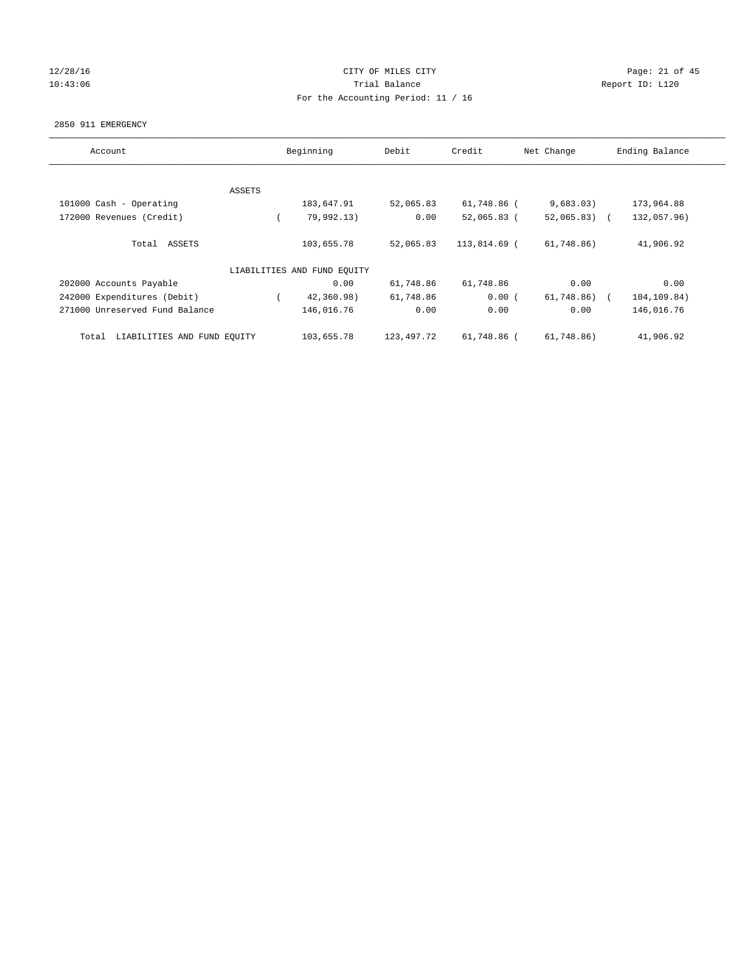# 12/28/16 Page: 21 of 45 10:43:06 Report ID: L120 For the Accounting Period: 11 / 16

#### 2850 911 EMERGENCY

| Account                              |        | Beginning<br>Debit          |            | Credit<br>Net Change |               | Ending Balance |
|--------------------------------------|--------|-----------------------------|------------|----------------------|---------------|----------------|
|                                      |        |                             |            |                      |               |                |
|                                      | ASSETS |                             |            |                      |               |                |
| 101000 Cash - Operating              |        | 183,647.91                  | 52,065.83  | 61,748.86 (          | 9,683.03)     | 173,964.88     |
| 172000 Revenues (Credit)             |        | 79,992.13)                  | 0.00       | $52,065.83$ (        | $52,065.83$ ( | 132,057.96)    |
| Total ASSETS                         |        | 103,655.78                  | 52,065.83  | 113,814.69 (         | 61,748.86)    | 41,906.92      |
|                                      |        | LIABILITIES AND FUND EQUITY |            |                      |               |                |
| 202000 Accounts Payable              |        | 0.00                        | 61,748.86  | 61,748.86            | 0.00          | 0.00           |
| 242000 Expenditures (Debit)          |        | 42,360.98)                  | 61,748.86  | 0.00(                | 61,748.86)    | 104,109.84)    |
| 271000 Unreserved Fund Balance       |        | 146,016.76                  | 0.00       | 0.00                 | 0.00          | 146,016.76     |
| LIABILITIES AND FUND EQUITY<br>Total |        | 103,655.78                  | 123,497.72 | 61,748.86 (          | 61,748.86)    | 41,906.92      |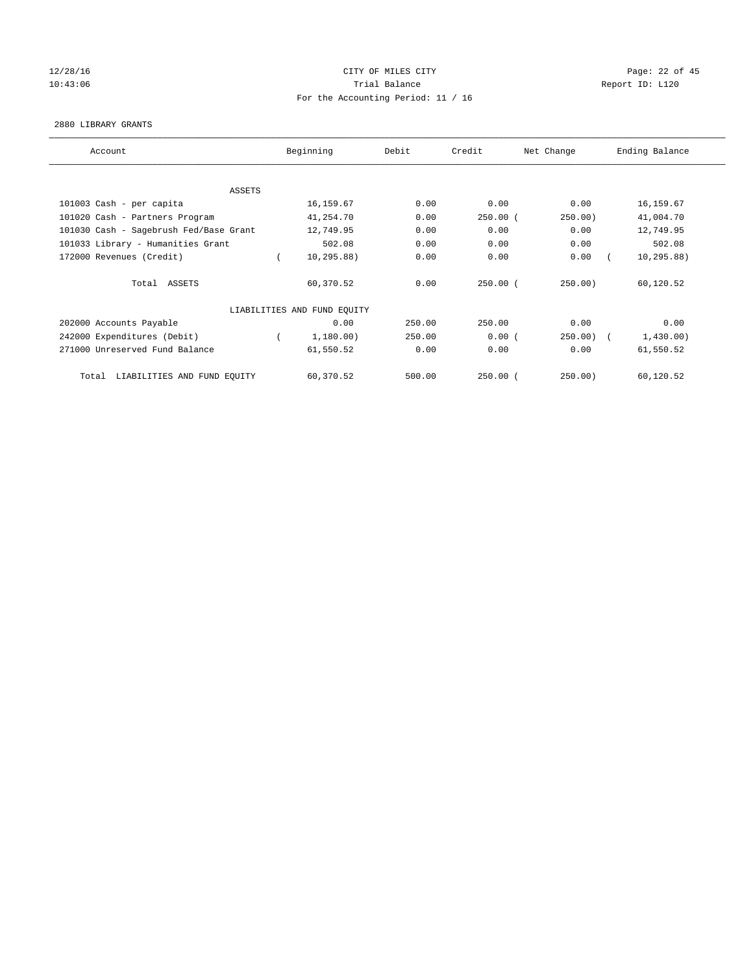# 12/28/16 Page: 22 of 45 10:43:06 Trial Balance Report ID: L120 For the Accounting Period: 11 / 16

#### 2880 LIBRARY GRANTS

| Account                                |  | Beginning                   | Debit  | Credit<br>Net Change |             | Ending Balance |             |
|----------------------------------------|--|-----------------------------|--------|----------------------|-------------|----------------|-------------|
|                                        |  |                             |        |                      |             |                |             |
| ASSETS                                 |  |                             |        |                      |             |                |             |
| 101003 Cash - per capita               |  | 16,159.67                   | 0.00   | 0.00                 | 0.00        |                | 16, 159.67  |
| 101020 Cash - Partners Program         |  | 41,254.70                   | 0.00   | $250.00$ (           | 250.00)     |                | 41,004.70   |
| 101030 Cash - Sagebrush Fed/Base Grant |  | 12,749.95                   | 0.00   | 0.00                 | 0.00        |                | 12,749.95   |
| 101033 Library - Humanities Grant      |  | 502.08                      | 0.00   | 0.00                 | 0.00        |                | 502.08      |
| 172000 Revenues (Credit)               |  | 10, 295.88)                 | 0.00   | 0.00                 | 0.00        |                | 10, 295.88) |
| Total ASSETS                           |  | 60,370.52                   | 0.00   | $250.00$ (           | 250.00)     |                | 60,120.52   |
|                                        |  | LIABILITIES AND FUND EQUITY |        |                      |             |                |             |
| 202000 Accounts Payable                |  | 0.00                        | 250.00 | 250.00               | 0.00        |                | 0.00        |
| 242000 Expenditures (Debit)            |  | 1,180.00)                   | 250.00 | 0.00(                | $250.00)$ ( |                | 1,430.00)   |
| 271000 Unreserved Fund Balance         |  | 61,550.52                   | 0.00   | 0.00                 | 0.00        |                | 61,550.52   |
| LIABILITIES AND FUND EQUITY<br>Total   |  | 60,370.52                   | 500.00 | $250.00$ $($         | 250.00      |                | 60,120.52   |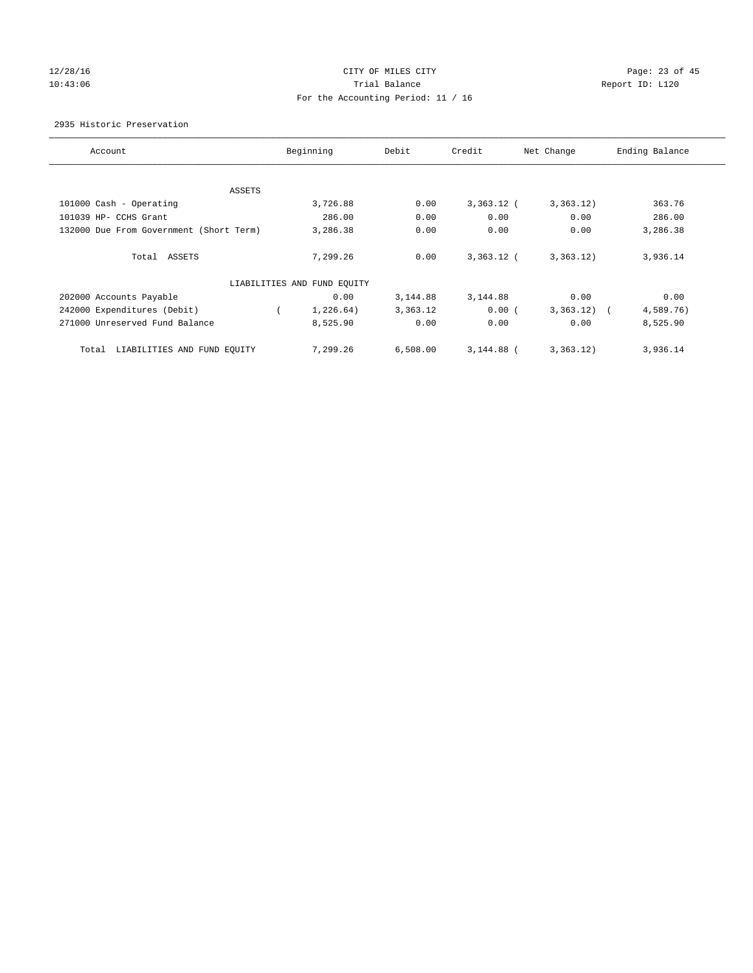# 12/28/16 Page: 23 of 45 10:43:06 Report ID: L120 For the Accounting Period: 11 / 16

2935 Historic Preservation

| Account                                 | Beginning                   | Debit    | Credit       | Net Change              | Ending Balance |
|-----------------------------------------|-----------------------------|----------|--------------|-------------------------|----------------|
|                                         |                             |          |              |                         |                |
| ASSETS                                  |                             |          |              |                         |                |
| 101000 Cash - Operating                 | 3,726.88                    | 0.00     | $3,363.12$ ( | 3,363.12)               | 363.76         |
| 101039 HP- CCHS Grant                   | 286.00                      | 0.00     | 0.00         | 0.00                    | 286.00         |
| 132000 Due From Government (Short Term) | 3,286.38                    | 0.00     | 0.00         | 0.00                    | 3,286.38       |
|                                         |                             |          |              |                         |                |
| Total ASSETS                            | 7,299.26                    | 0.00     | $3,363.12$ ( | 3,363.12)               | 3,936.14       |
|                                         |                             |          |              |                         |                |
|                                         | LIABILITIES AND FUND EQUITY |          |              |                         |                |
| 202000 Accounts Payable                 | 0.00                        | 3,144.88 | 3,144.88     | 0.00                    | 0.00           |
| 242000 Expenditures (Debit)             | 1,226.64)                   | 3,363.12 | 0.00(        | 3,363.12)<br>$\sqrt{2}$ | 4,589.76)      |
| 271000 Unreserved Fund Balance          | 8,525.90                    | 0.00     | 0.00         | 0.00                    | 8,525.90       |
|                                         |                             |          |              |                         |                |
| LIABILITIES AND FUND EQUITY<br>Total    | 7,299.26                    | 6,508.00 | 3,144.88 (   | 3,363.12)               | 3,936.14       |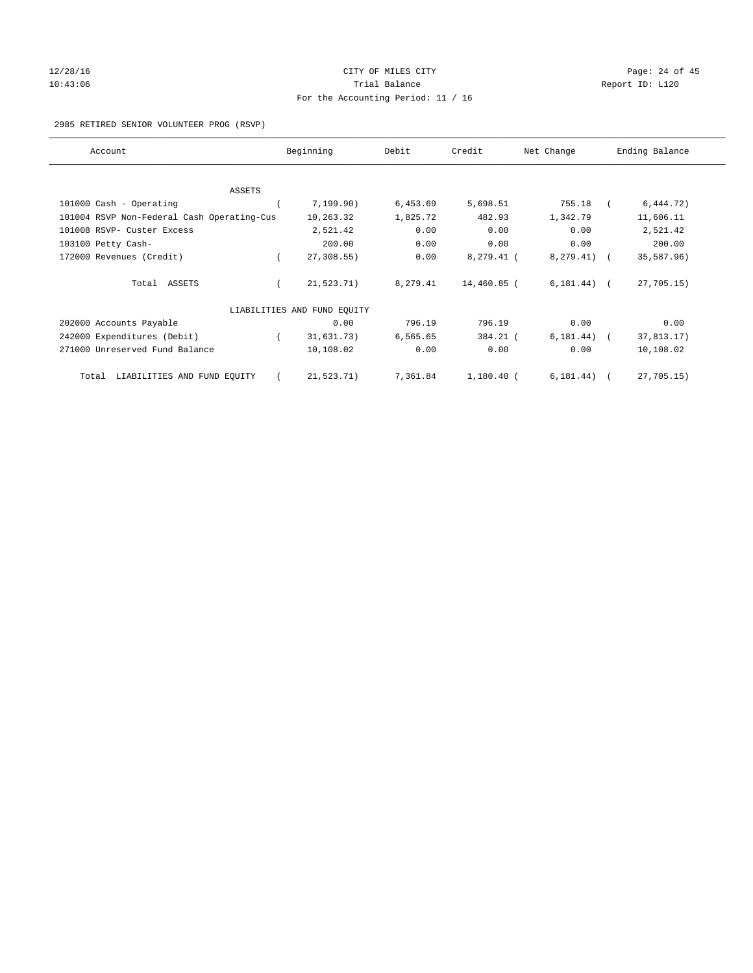# 12/28/16 Page: 24 of 45 10:43:06 Report ID: L120 For the Accounting Period: 11 / 16

#### 2985 RETIRED SENIOR VOLUNTEER PROG (RSVP)

| Account                                    | Beginning                   | Debit    | Credit       | Net Change    | Ending Balance |
|--------------------------------------------|-----------------------------|----------|--------------|---------------|----------------|
|                                            |                             |          |              |               |                |
| ASSETS                                     |                             |          |              |               |                |
| 101000 Cash - Operating                    | 7,199.90)                   | 6,453.69 | 5,698.51     | 755.18        | 6, 444.72)     |
| 101004 RSVP Non-Federal Cash Operating-Cus | 10,263.32                   | 1,825.72 | 482.93       | 1,342.79      | 11,606.11      |
| 101008 RSVP- Custer Excess                 | 2,521.42                    | 0.00     | 0.00         | 0.00          | 2,521.42       |
| 103100 Petty Cash-                         | 200.00                      | 0.00     | 0.00         | 0.00          | 200.00         |
| 172000 Revenues (Credit)                   | 27,308.55)                  | 0.00     | 8,279.41 (   | 8, 279.41)    | 35,587.96)     |
| Total ASSETS                               | 21, 523.71)                 | 8,279.41 | 14,460.85 (  | $6,181.44)$ ( | 27,705.15)     |
|                                            | LIABILITIES AND FUND EOUITY |          |              |               |                |
| 202000 Accounts Payable                    | 0.00                        | 796.19   | 796.19       | 0.00          | 0.00           |
| 242000 Expenditures (Debit)                | 31,631.73)                  | 6,565.65 | 384.21 (     | 6, 181.44)    | 37,813.17)     |
| 271000 Unreserved Fund Balance             | 10,108.02                   | 0.00     | 0.00         | 0.00          | 10,108.02      |
| LIABILITIES AND FUND EQUITY<br>Total       | 21,523.71)                  | 7,361.84 | $1,180.40$ ( | 6, 181.44)    | 27,705.15)     |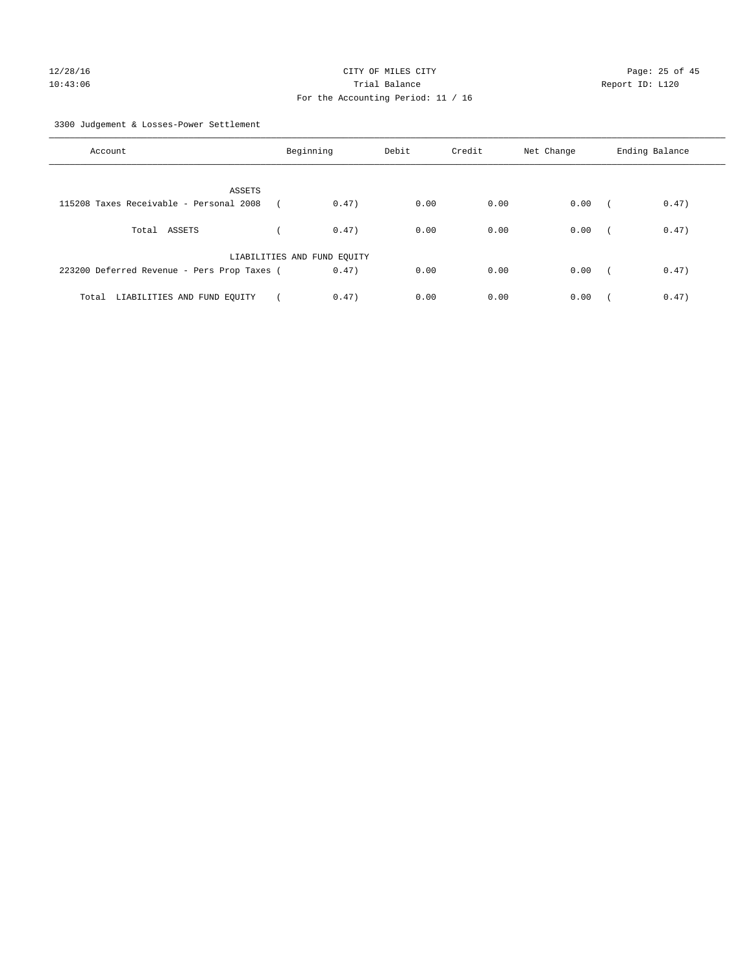# For the Accounting Period: 11 / 16

3300 Judgement & Losses-Power Settlement

| Account                                     | Beginning                   |       | Debit | Credit | Net Change | Ending Balance      |  |
|---------------------------------------------|-----------------------------|-------|-------|--------|------------|---------------------|--|
| ASSETS                                      |                             |       |       |        |            |                     |  |
| 115208 Taxes Receivable - Personal 2008     |                             | 0.47) | 0.00  | 0.00   | 0.00       | 0.47)<br>$\sqrt{2}$ |  |
| Total ASSETS                                |                             | 0.47) | 0.00  | 0.00   | 0.00       | 0.47)<br>$\sim$     |  |
|                                             | LIABILITIES AND FUND EQUITY |       |       |        |            |                     |  |
| 223200 Deferred Revenue - Pers Prop Taxes ( |                             | 0.47) | 0.00  | 0.00   | 0.00       | 0.47)<br>$\sqrt{2}$ |  |
| LIABILITIES AND FUND EQUITY<br>Total        |                             | 0.47) | 0.00  | 0.00   | 0.00       | 0.47)               |  |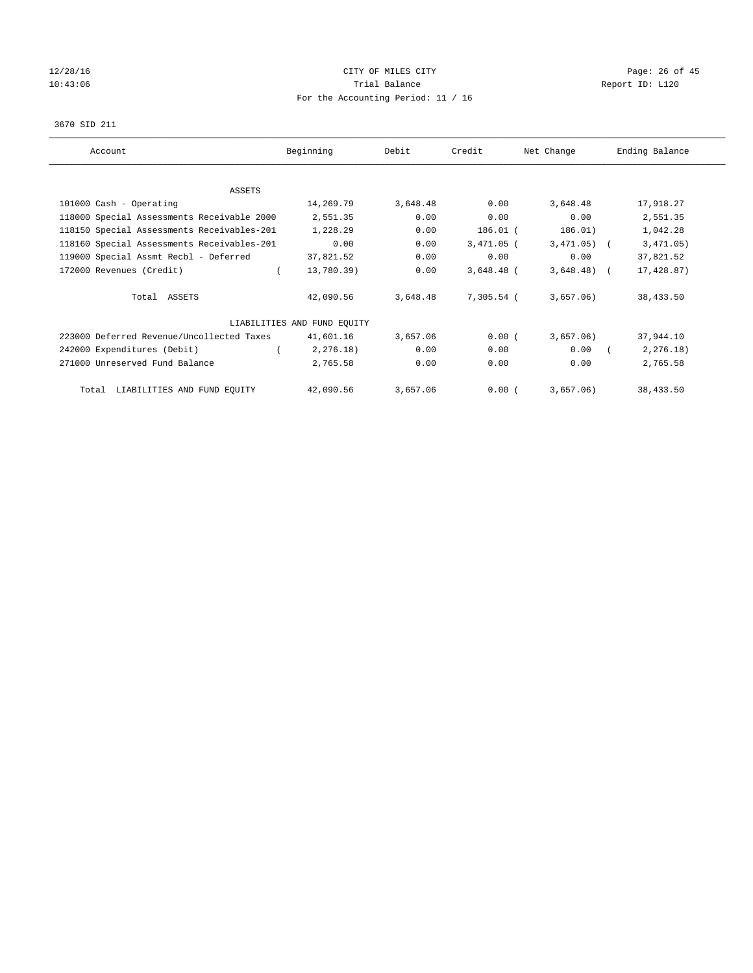# $12/28/16$  Page: 26 of 45 10:43:06 Report ID: L120 For the Accounting Period: 11 / 16

#### 3670 SID 211

| Account                                    | Beginning                   | Debit    | Credit       | Net Change   | Ending Balance |
|--------------------------------------------|-----------------------------|----------|--------------|--------------|----------------|
|                                            |                             |          |              |              |                |
| ASSETS                                     |                             |          |              |              |                |
| 101000 Cash - Operating                    | 14,269.79                   | 3,648.48 | 0.00         | 3,648.48     | 17,918.27      |
| 118000 Special Assessments Receivable 2000 | 2,551.35                    | 0.00     | 0.00         | 0.00         | 2,551.35       |
| 118150 Special Assessments Receivables-201 | 1,228.29                    | 0.00     | 186.01 (     | 186.01)      | 1,042.28       |
| 118160 Special Assessments Receivables-201 | 0.00                        | 0.00     | $3,471.05$ ( | $3,471.05$ ( | 3,471.05)      |
| 119000 Special Assmt Recbl - Deferred      | 37,821.52                   | 0.00     | 0.00         | 0.00         | 37,821.52      |
| 172000 Revenues (Credit)                   | 13,780.39)                  | 0.00     | $3,648.48$ ( | $3,648.48$ ( | 17,428.87)     |
| Total ASSETS                               | 42,090.56                   | 3,648.48 | 7,305.54 (   | 3,657.06)    | 38,433.50      |
|                                            | LIABILITIES AND FUND EQUITY |          |              |              |                |
| 223000 Deferred Revenue/Uncollected Taxes  | 41,601.16                   | 3,657.06 | 0.00(        | 3,657.06)    | 37,944.10      |
| 242000 Expenditures (Debit)                | 2, 276.18)                  | 0.00     | 0.00         | 0.00         | 2, 276.18)     |
| 271000 Unreserved Fund Balance             | 2,765.58                    | 0.00     | 0.00         | 0.00         | 2,765.58       |
| Total LIABILITIES AND FUND EQUITY          | 42,090.56                   | 3,657.06 | 0.00(        | 3,657.06)    | 38,433.50      |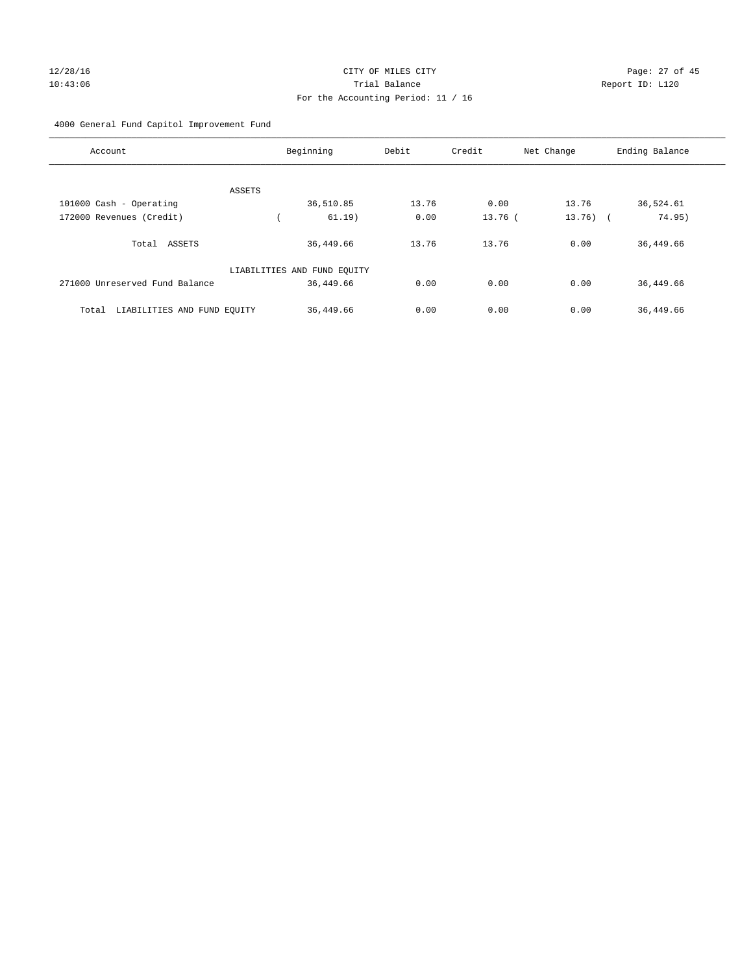# 12/28/16 Page: 27 of 45 10:43:06 Trial Balance Report ID: L120 For the Accounting Period: 11 / 16

# 4000 General Fund Capitol Improvement Fund

| Account                              | Beginning                   | Debit | Credit    | Net Change  | Ending Balance |
|--------------------------------------|-----------------------------|-------|-----------|-------------|----------------|
| ASSETS                               |                             |       |           |             |                |
| 101000 Cash - Operating              | 36,510.85                   | 13.76 | 0.00      | 13.76       | 36,524.61      |
| 172000 Revenues (Credit)             | 61.19)                      | 0.00  | $13.76$ ( | $13.76$ ) ( | 74.95)         |
| Total ASSETS                         | 36,449.66                   | 13.76 | 13.76     | 0.00        | 36,449.66      |
|                                      | LIABILITIES AND FUND EQUITY |       |           |             |                |
| 271000 Unreserved Fund Balance       | 36,449.66                   | 0.00  | 0.00      | 0.00        | 36,449.66      |
| LIABILITIES AND FUND EQUITY<br>Total | 36,449.66                   | 0.00  | 0.00      | 0.00        | 36,449.66      |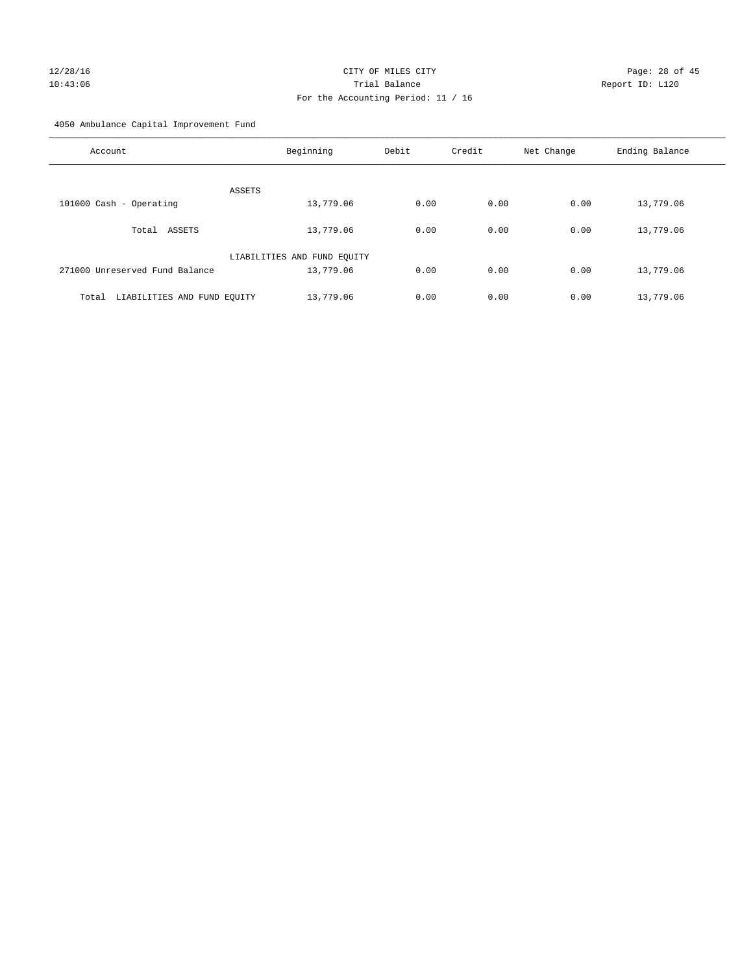# 12/28/16 Page: 28 of 45 10:43:06 Trial Balance Report ID: L120 For the Accounting Period: 11 / 16

4050 Ambulance Capital Improvement Fund

| Account                              | Beginning                   | Debit | Credit | Net Change | Ending Balance |
|--------------------------------------|-----------------------------|-------|--------|------------|----------------|
| ASSETS                               |                             |       |        |            |                |
| 101000 Cash - Operating              | 13,779.06                   | 0.00  | 0.00   | 0.00       | 13,779.06      |
| ASSETS<br>Total                      | 13,779.06                   | 0.00  | 0.00   | 0.00       | 13,779.06      |
|                                      | LIABILITIES AND FUND EQUITY |       |        |            |                |
| 271000 Unreserved Fund Balance       | 13,779.06                   | 0.00  | 0.00   | 0.00       | 13,779.06      |
| LIABILITIES AND FUND EQUITY<br>Total | 13,779.06                   | 0.00  | 0.00   | 0.00       | 13,779.06      |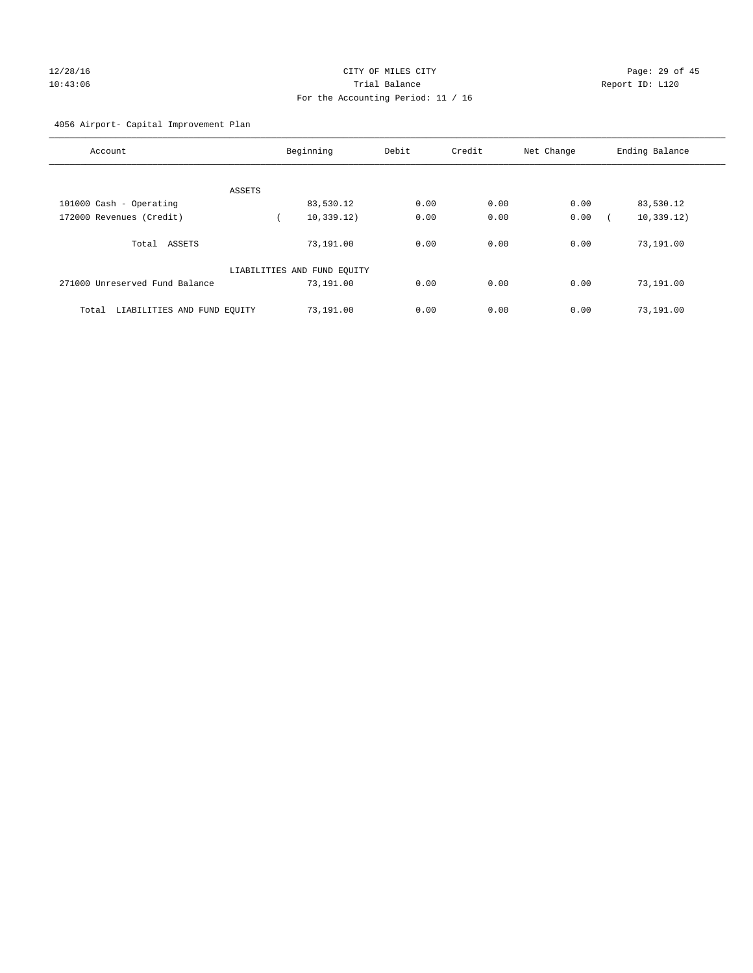# 12/28/16 Page: 29 of 45 10:43:06 Trial Balance Report ID: L120 For the Accounting Period: 11 / 16

# 4056 Airport- Capital Improvement Plan

| Account                              | Beginning                   | Debit | Credit | Net Change | Ending Balance |
|--------------------------------------|-----------------------------|-------|--------|------------|----------------|
|                                      |                             |       |        |            |                |
| ASSETS                               |                             |       |        |            |                |
| 101000 Cash - Operating              | 83,530.12                   | 0.00  | 0.00   | 0.00       | 83,530.12      |
| 172000 Revenues (Credit)             | 10, 339.12)                 | 0.00  | 0.00   | 0.00       | 10, 339.12)    |
| ASSETS<br>Total                      | 73,191.00                   | 0.00  | 0.00   | 0.00       | 73,191.00      |
|                                      | LIABILITIES AND FUND EQUITY |       |        |            |                |
| 271000 Unreserved Fund Balance       | 73,191.00                   | 0.00  | 0.00   | 0.00       | 73,191.00      |
| LIABILITIES AND FUND EQUITY<br>Total | 73,191.00                   | 0.00  | 0.00   | 0.00       | 73,191.00      |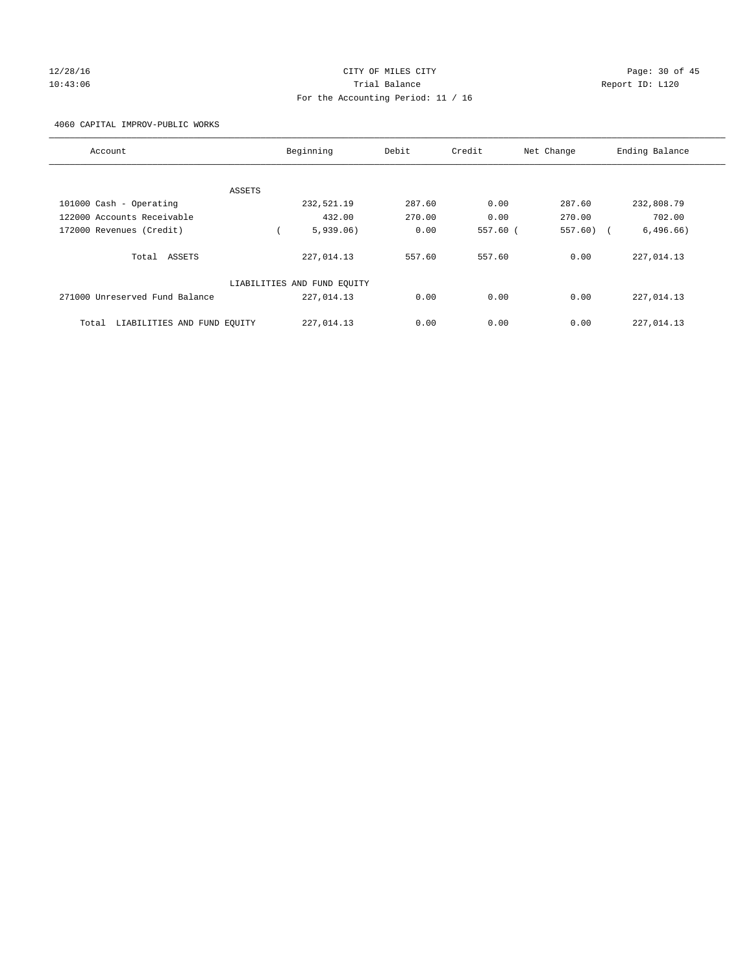# 12/28/16 Page: 30 of 45 10:43:06 Trial Balance Report ID: L120 For the Accounting Period: 11 / 16

4060 CAPITAL IMPROV-PUBLIC WORKS

| Account                              | Beginning                   | Debit  | Credit     | Net Change   | Ending Balance |
|--------------------------------------|-----------------------------|--------|------------|--------------|----------------|
|                                      |                             |        |            |              |                |
| ASSETS                               |                             |        |            |              |                |
| 101000 Cash - Operating              | 232,521.19                  | 287.60 | 0.00       | 287.60       | 232,808.79     |
| 122000 Accounts Receivable           | 432.00                      | 270.00 | 0.00       | 270.00       | 702.00         |
| 172000 Revenues (Credit)             | 5,939.06)                   | 0.00   | $557.60$ ( | $557.60$ ) ( | 6,496.66)      |
| Total ASSETS                         | 227,014.13                  | 557.60 | 557.60     | 0.00         | 227,014.13     |
|                                      | LIABILITIES AND FUND EQUITY |        |            |              |                |
| 271000 Unreserved Fund Balance       | 227,014.13                  | 0.00   | 0.00       | 0.00         | 227,014.13     |
| LIABILITIES AND FUND EQUITY<br>Total | 227,014.13                  | 0.00   | 0.00       | 0.00         | 227,014.13     |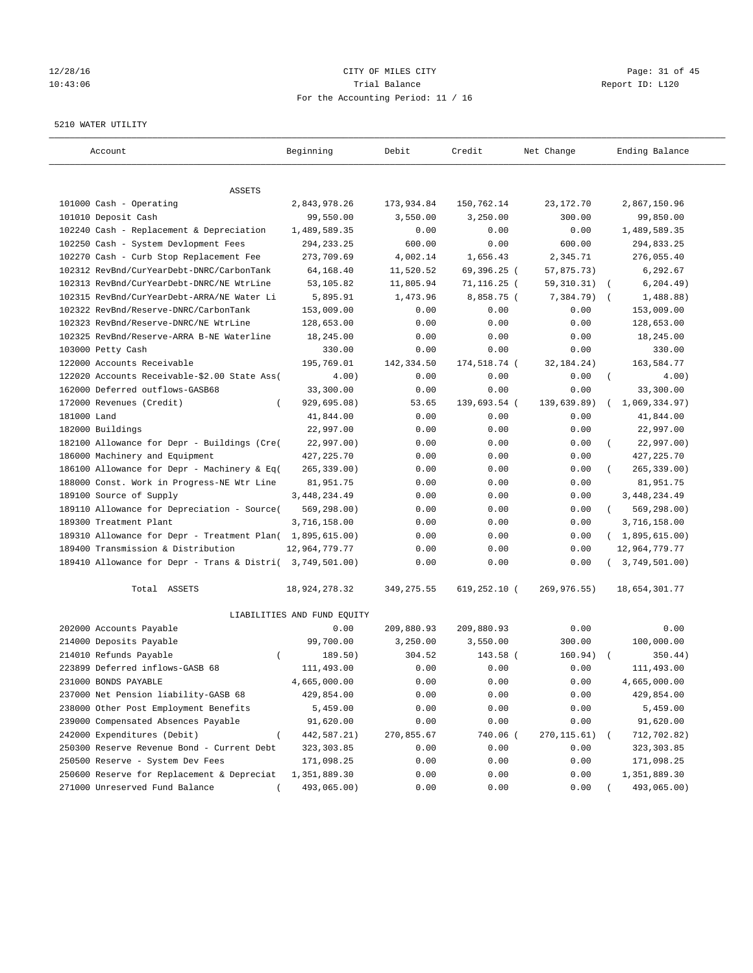# 12/28/16 Page: 31 of 45 10:43:06 Trial Balance Report ID: L120 For the Accounting Period: 11 / 16

#### 5210 WATER UTILITY

| Account                                                   | Beginning                   | Debit       | Credit         | Net Change   | Ending Balance                 |
|-----------------------------------------------------------|-----------------------------|-------------|----------------|--------------|--------------------------------|
| ASSETS                                                    |                             |             |                |              |                                |
| 101000 Cash - Operating                                   | 2,843,978.26                | 173,934.84  | 150,762.14     | 23,172.70    | 2,867,150.96                   |
| 101010 Deposit Cash                                       | 99,550.00                   | 3,550.00    | 3,250.00       | 300.00       | 99,850.00                      |
| 102240 Cash - Replacement & Depreciation                  | 1,489,589.35                | 0.00        | 0.00           | 0.00         | 1,489,589.35                   |
| 102250 Cash - System Devlopment Fees                      | 294, 233. 25                | 600.00      | 0.00           | 600.00       | 294,833.25                     |
| 102270 Cash - Curb Stop Replacement Fee                   | 273,709.69                  | 4,002.14    | 1,656.43       | 2,345.71     | 276,055.40                     |
| 102312 RevBnd/CurYearDebt-DNRC/CarbonTank                 | 64,168.40                   | 11,520.52   | 69,396.25 (    | 57,875.73)   | 6,292.67                       |
| 102313 RevBnd/CurYearDebt-DNRC/NE WtrLine                 | 53,105.82                   | 11,805.94   | $71, 116.25$ ( | 59, 310. 31) | 6, 204.49)<br>$\sqrt{2}$       |
| 102315 RevBnd/CurYearDebt-ARRA/NE Water Li                | 5,895.91                    | 1,473.96    | 8,858.75 (     | 7,384.79)    | 1,488.88)                      |
| 102322 RevBnd/Reserve-DNRC/CarbonTank                     | 153,009.00                  | 0.00        | 0.00           | 0.00         | 153,009.00                     |
| 102323 RevBnd/Reserve-DNRC/NE WtrLine                     | 128,653.00                  | 0.00        | 0.00           | 0.00         | 128,653.00                     |
| 102325 RevBnd/Reserve-ARRA B-NE Waterline                 | 18,245.00                   | 0.00        | 0.00           | 0.00         | 18,245.00                      |
| 103000 Petty Cash                                         | 330.00                      | 0.00        | 0.00           | 0.00         | 330.00                         |
| 122000 Accounts Receivable                                | 195,769.01                  | 142,334.50  | 174,518.74 (   | 32,184.24)   | 163,584.77                     |
| 122020 Accounts Receivable-\$2.00 State Ass(              | 4.00)                       | 0.00        | 0.00           | 0.00         | $\left($<br>4.00)              |
| 162000 Deferred outflows-GASB68                           | 33,300.00                   | 0.00        | 0.00           | 0.00         | 33,300.00                      |
| 172000 Revenues (Credit)                                  | 929,695.08)                 | 53.65       | 139,693.54 (   | 139,639.89)  | 1,069,334.97)                  |
| 181000 Land                                               | 41,844.00                   | 0.00        | 0.00           | 0.00         | 41,844.00                      |
| 182000 Buildings                                          | 22,997.00                   | 0.00        | 0.00           | 0.00         | 22,997.00                      |
| 182100 Allowance for Depr - Buildings (Cre(               | 22,997.00)                  | 0.00        | 0.00           | 0.00         | 22,997.00)<br>$\overline{(\ }$ |
| 186000 Machinery and Equipment                            | 427, 225. 70                | 0.00        | 0.00           | 0.00         | 427, 225.70                    |
| 186100 Allowance for Depr - Machinery & Eq(               | $265, 339.00$ )             | 0.00        | 0.00           | 0.00         | 265, 339.00)                   |
| 188000 Const. Work in Progress-NE Wtr Line                | 81,951.75                   | 0.00        | 0.00           | 0.00         | 81,951.75                      |
| 189100 Source of Supply                                   | 3,448,234.49                | 0.00        | 0.00           | 0.00         | 3, 448, 234.49                 |
| 189110 Allowance for Depreciation - Source(               | 569, 298.00)                | 0.00        | 0.00           | 0.00         | 569,298.00)<br>$\left($        |
| 189300 Treatment Plant                                    | 3,716,158.00                | 0.00        | 0.00           | 0.00         | 3,716,158.00                   |
| 189310 Allowance for Depr - Treatment Plan(               | 1,895,615.00)               | 0.00        | 0.00           | 0.00         | (1,895,615.00)                 |
| 189400 Transmission & Distribution                        | 12,964,779.77               | 0.00        | 0.00           | 0.00         | 12,964,779.77                  |
| 189410 Allowance for Depr - Trans & Distri( 3,749,501.00) |                             | 0.00        | 0.00           | 0.00         | 3,749,501.00)                  |
| Total ASSETS                                              | 18,924,278.32               | 349, 275.55 | 619,252.10 (   | 269,976.55)  | 18,654,301.77                  |
|                                                           | LIABILITIES AND FUND EQUITY |             |                |              |                                |
| 202000 Accounts Payable                                   | 0.00                        | 209,880.93  | 209,880.93     | 0.00         | 0.00                           |
| 214000 Deposits Payable                                   | 99,700.00                   | 3,250.00    | 3,550.00       | 300.00       | 100,000.00                     |
| 214010 Refunds Payable<br>$\left($                        | 189.50)                     | 304.52      | 143.58 (       | 160.94)      | 350.44)                        |
| 223899 Deferred inflows-GASB 68                           | 111,493.00                  | 0.00        | 0.00           | 0.00         | 111,493.00                     |
| 231000 BONDS PAYABLE                                      | 4,665,000.00                | 0.00        | 0.00           | 0.00         | 4,665,000.00                   |
| 237000 Net Pension liability-GASB 68                      | 429,854.00                  | 0.00        | 0.00           | 0.00         | 429,854.00                     |
| 238000 Other Post Employment Benefits                     | 5,459.00                    | 0.00        | 0.00           | 0.00         | 5,459.00                       |
| 239000 Compensated Absences Payable                       | 91,620.00                   | 0.00        | 0.00           | 0.00         | 91,620.00                      |
| 242000 Expenditures (Debit)                               | 442,587.21)                 | 270,855.67  | 740.06 (       | 270, 115.61) | 712,702.82)                    |
| 250300 Reserve Revenue Bond - Current Debt                | 323, 303.85                 | 0.00        | 0.00           | 0.00         | 323, 303.85                    |
| 250500 Reserve - System Dev Fees                          | 171,098.25                  | 0.00        | 0.00           | 0.00         | 171,098.25                     |
| 250600 Reserve for Replacement & Depreciat                | 1,351,889.30                | 0.00        | 0.00           | 0.00         | 1,351,889.30                   |
| 271000 Unreserved Fund Balance                            | 493,065.00)                 | 0.00        | 0.00           | 0.00         | 493,065.00)                    |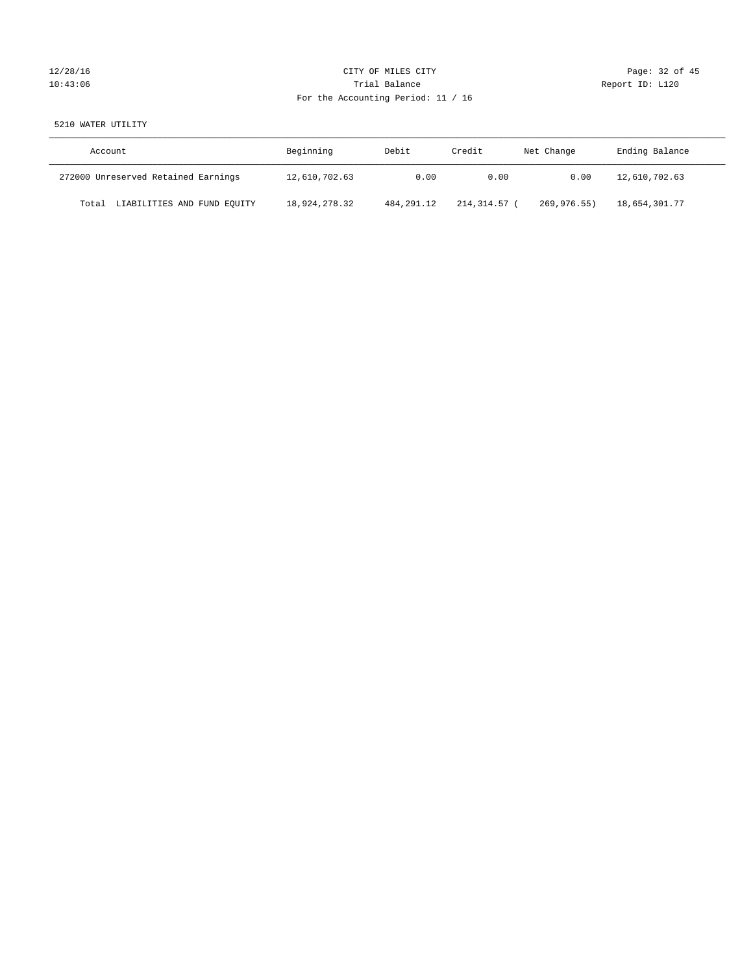# 12/28/16 Page: 32 of 45 10:43:06 Report ID: L120 For the Accounting Period: 11 / 16

# 5210 WATER UTILITY

| Account                              | Beginning     | Debit        | Credit     | Net Change  | Ending Balance |
|--------------------------------------|---------------|--------------|------------|-------------|----------------|
| 272000 Unreserved Retained Earnings  | 12,610,702.63 | 0.00         | 0.00       | 0.00        | 12,610,702.63  |
| LIABILITIES AND FUND EQUITY<br>Total | 18,924,278.32 | 484, 291, 12 | 214,314.57 | 269,976.55) | 18,654,301.77  |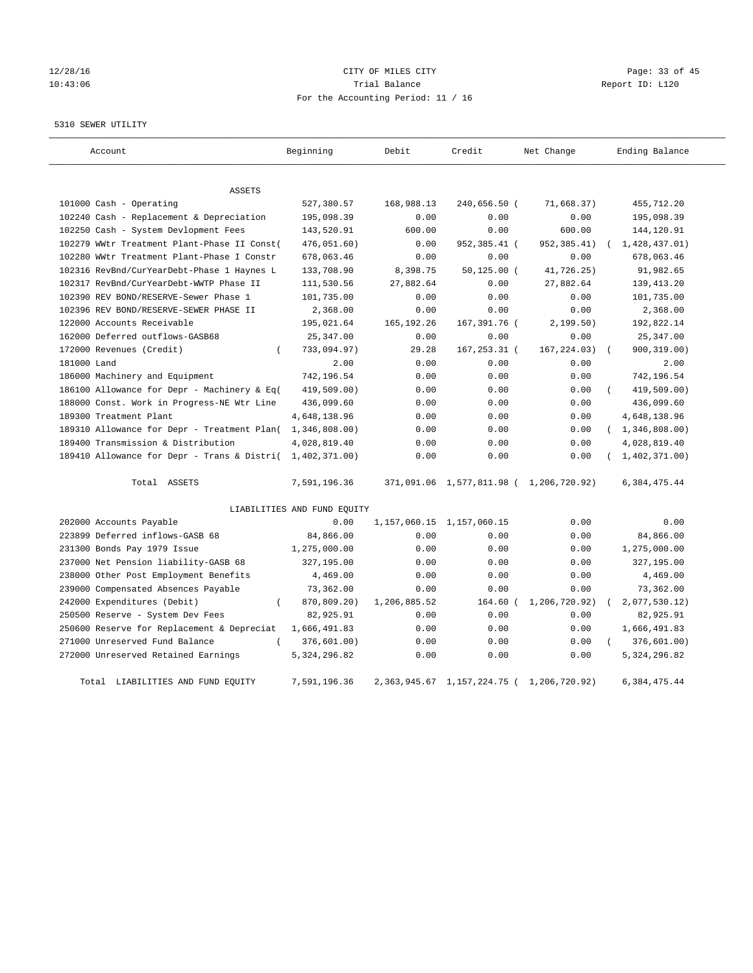# 12/28/16 Page: 33 of 45 10:43:06 Trial Balance Report ID: L120 For the Accounting Period: 11 / 16

#### 5310 SEWER UTILITY

| Account                                                   | Beginning                   | Debit        | Credit                          | Net Change                              | Ending Balance          |
|-----------------------------------------------------------|-----------------------------|--------------|---------------------------------|-----------------------------------------|-------------------------|
| ASSETS                                                    |                             |              |                                 |                                         |                         |
| 101000 Cash - Operating                                   | 527,380.57                  | 168,988.13   | 240,656.50 (                    | 71,668.37)                              | 455,712.20              |
| 102240 Cash - Replacement & Depreciation                  | 195,098.39                  | 0.00         | 0.00                            | 0.00                                    | 195,098.39              |
| 102250 Cash - System Devlopment Fees                      | 143,520.91                  | 600.00       | 0.00                            | 600.00                                  | 144,120.91              |
| 102279 WWtr Treatment Plant-Phase II Const(               | 476,051.60)                 | 0.00         | 952,385.41 (                    | 952, 385.41)                            | 1,428,437.01)           |
| 102280 WWtr Treatment Plant-Phase I Constr                | 678,063.46                  | 0.00         | 0.00                            | 0.00                                    | 678,063.46              |
| 102316 RevBnd/CurYearDebt-Phase 1 Haynes L                | 133,708.90                  | 8,398.75     | $50, 125.00$ (                  | 41,726.25)                              | 91,982.65               |
| 102317 RevBnd/CurYearDebt-WWTP Phase II                   | 111,530.56                  | 27,882.64    | 0.00                            | 27,882.64                               | 139, 413. 20            |
| 102390 REV BOND/RESERVE-Sewer Phase 1                     | 101,735.00                  | 0.00         | 0.00                            | 0.00                                    | 101,735.00              |
| 102396 REV BOND/RESERVE-SEWER PHASE II                    | 2,368.00                    | 0.00         | 0.00                            | 0.00                                    | 2,368.00                |
| 122000 Accounts Receivable                                | 195,021.64                  | 165, 192. 26 | 167,391.76 (                    | 2,199.50)                               | 192,822.14              |
| 162000 Deferred outflows-GASB68                           | 25, 347.00                  | 0.00         | 0.00                            | 0.00                                    | 25, 347.00              |
| 172000 Revenues (Credit)<br>$\left($                      | 733,094.97)                 | 29.28        | 167,253.31 (                    | 167, 224.03)                            | 900, 319.00)            |
| 181000 Land                                               | 2.00                        | 0.00         | 0.00                            | 0.00                                    | 2.00                    |
| 186000 Machinery and Equipment                            | 742,196.54                  | 0.00         | 0.00                            | 0.00                                    | 742,196.54              |
| 186100 Allowance for Depr - Machinery & Eq(               | 419,509.00)                 | 0.00         | 0.00                            | 0.00                                    | 419,509.00)<br>$\left($ |
| 188000 Const. Work in Progress-NE Wtr Line                | 436,099.60                  | 0.00         | 0.00                            | 0.00                                    | 436,099.60              |
| 189300 Treatment Plant                                    | 4,648,138.96                | 0.00         | 0.00                            | 0.00                                    | 4,648,138.96            |
| 189310 Allowance for Depr - Treatment Plan(               | 1,346,808.00)               | 0.00         | 0.00                            | 0.00                                    | (1, 346, 808.00)        |
| 189400 Transmission & Distribution                        | 4,028,819.40                | 0.00         | 0.00                            | 0.00                                    | 4,028,819.40            |
| 189410 Allowance for Depr - Trans & Distri( 1,402,371.00) |                             | 0.00         | 0.00                            | 0.00                                    | 1,402,371.00)           |
| Total ASSETS                                              | 7,591,196.36                |              |                                 | 371,091.06 1,577,811.98 ( 1,206,720.92) | 6,384,475.44            |
|                                                           | LIABILITIES AND FUND EQUITY |              |                                 |                                         |                         |
| 202000 Accounts Payable                                   | 0.00                        |              | 1, 157, 060. 15 1, 157, 060. 15 | 0.00                                    | 0.00                    |
| 223899 Deferred inflows-GASB 68                           | 84,866.00                   | 0.00         | 0.00                            | 0.00                                    | 84,866.00               |
| 231300 Bonds Pay 1979 Issue                               | 1,275,000.00                | 0.00         | 0.00                            | 0.00                                    | 1,275,000.00            |
| 237000 Net Pension liability-GASB 68                      | 327,195.00                  | 0.00         | 0.00                            | 0.00                                    | 327,195.00              |
| 238000 Other Post Employment Benefits                     | 4,469.00                    | 0.00         | 0.00                            | 0.00                                    | 4,469.00                |
| 239000 Compensated Absences Payable                       | 73,362.00                   | 0.00         | 0.00                            | 0.00                                    | 73,362.00               |
| 242000 Expenditures (Debit)                               | 870,809.20)                 | 1,206,885.52 | $164.60$ $($                    | 1,206,720.92)                           | 2,077,530.12            |
| 250500 Reserve - System Dev Fees                          | 82,925.91                   | 0.00         | 0.00                            | 0.00                                    | 82,925.91               |
| 250600 Reserve for Replacement & Depreciat                | 1,666,491.83                | 0.00         | 0.00                            | 0.00                                    | 1,666,491.83            |
| 271000 Unreserved Fund Balance<br>$\left($                | 376,601.00)                 | 0.00         | 0.00                            | 0.00                                    | 376, 601.00)            |
| 272000 Unreserved Retained Earnings                       | 5, 324, 296.82              | 0.00         | 0.00                            | 0.00                                    | 5, 324, 296.82          |
| Total LIABILITIES AND FUND EOUITY                         | 7,591,196.36                |              | 2, 363, 945.67 1, 157, 224.75 ( | 1, 206, 720, 92)                        | 6,384,475.44            |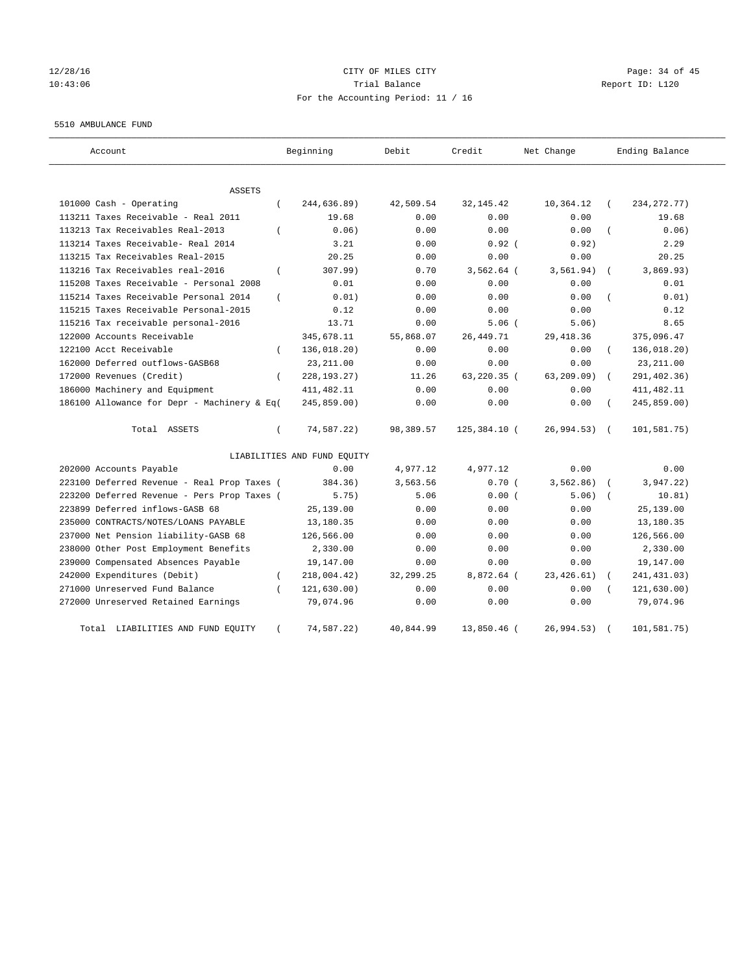# 12/28/16 Page: 34 of 45 10:43:06 Trial Balance Report ID: L120 For the Accounting Period: 11 / 16

#### 5510 AMBULANCE FUND

| Account                                                   | Beginning                   | Debit       | Credit       | Net Change   | Ending Balance        |
|-----------------------------------------------------------|-----------------------------|-------------|--------------|--------------|-----------------------|
| <b>ASSETS</b>                                             |                             |             |              |              |                       |
| 101000 Cash - Operating<br>$\left($                       | 244,636.89)                 | 42,509.54   | 32, 145. 42  | 10,364.12    | 234, 272. 77)         |
| 113211 Taxes Receivable - Real 2011                       | 19.68                       | 0.00        | 0.00         | 0.00         | 19.68                 |
| 113213 Tax Receivables Real-2013                          | 0.06                        | 0.00        | 0.00         | 0.00         | 0.06)                 |
| 113214 Taxes Receivable- Real 2014                        | 3.21                        | 0.00        | $0.92$ (     | 0.92)        | 2.29                  |
| 113215 Tax Receivables Real-2015                          | 20.25                       | 0.00        | 0.00         | 0.00         | 20.25                 |
| 113216 Tax Receivables real-2016<br>$\overline{(\ }$      | 307.99)                     | 0.70        | $3,562.64$ ( | 3, 561.94)   | 3,869.93)<br>$\left($ |
| 115208 Taxes Receivable - Personal 2008                   | 0.01                        | 0.00        | 0.00         | 0.00         | 0.01                  |
| 115214 Taxes Receivable Personal 2014<br>$\overline{(\ }$ | 0.01)                       | 0.00        | 0.00         | 0.00         | 0.01)                 |
| 115215 Taxes Receivable Personal-2015                     | 0.12                        | 0.00        | 0.00         | 0.00         | 0.12                  |
| 115216 Tax receivable personal-2016                       | 13.71                       | 0.00        | 5.06(        | 5.06)        | 8.65                  |
| 122000 Accounts Receivable                                | 345,678.11                  | 55,868.07   | 26, 449. 71  | 29, 418.36   | 375,096.47            |
| 122100 Acct Receivable<br>$\left($                        | 136,018.20)                 | 0.00        | 0.00         | 0.00         | 136,018.20)           |
| 162000 Deferred outflows-GASB68                           | 23, 211.00                  | 0.00        | 0.00         | 0.00         | 23, 211.00            |
| 172000 Revenues (Credit)<br>$\left($                      | 228, 193. 27)               | 11.26       | 63,220.35 (  | 63, 209.09)  | 291,402.36)           |
| 186000 Machinery and Equipment                            | 411, 482.11                 | 0.00        | 0.00         | 0.00         | 411, 482.11           |
| 186100 Allowance for Depr - Machinery & Eq(               | 245,859.00)                 | 0.00        | 0.00         | 0.00         | 245,859.00)           |
| Total ASSETS<br>$\left($                                  | 74,587.22)                  | 98,389.57   | 125,384.10 ( | 26,994.53) ( | 101,581.75)           |
|                                                           | LIABILITIES AND FUND EQUITY |             |              |              |                       |
| 202000 Accounts Payable                                   | 0.00                        | 4,977.12    | 4,977.12     | 0.00         | 0.00                  |
| 223100 Deferred Revenue - Real Prop Taxes (               | 384.36)                     | 3,563.56    | 0.70(        | 3, 562.86)   | 3,947.22)             |
| 223200 Deferred Revenue - Pers Prop Taxes (               | 5.75)                       | 5.06        | 0.00(        | 5.06)        | 10.81)                |
| 223899 Deferred inflows-GASB 68                           | 25,139.00                   | 0.00        | 0.00         | 0.00         | 25,139.00             |
| 235000 CONTRACTS/NOTES/LOANS PAYABLE                      | 13,180.35                   | 0.00        | 0.00         | 0.00         | 13,180.35             |
| 237000 Net Pension liability-GASB 68                      | 126,566.00                  | 0.00        | 0.00         | 0.00         | 126,566.00            |
| 238000 Other Post Employment Benefits                     | 2,330.00                    | 0.00        | 0.00         | 0.00         | 2,330.00              |
| 239000 Compensated Absences Payable                       | 19,147.00                   | 0.00        | 0.00         | 0.00         | 19,147.00             |
| 242000 Expenditures (Debit)<br>$\left($                   | 218,004.42)                 | 32, 299. 25 | 8,872.64 (   | 23, 426.61)  | 241, 431.03)          |
| 271000 Unreserved Fund Balance                            | 121,630.00)                 | 0.00        | 0.00         | 0.00         | 121,630.00)           |
| 272000 Unreserved Retained Earnings                       | 79,074.96                   | 0.00        | 0.00         | 0.00         | 79,074.96             |
| Total LIABILITIES AND FUND EQUITY                         | 74,587.22)                  | 40,844.99   | 13,850.46 (  | 26,994.53)   | 101,581.75)           |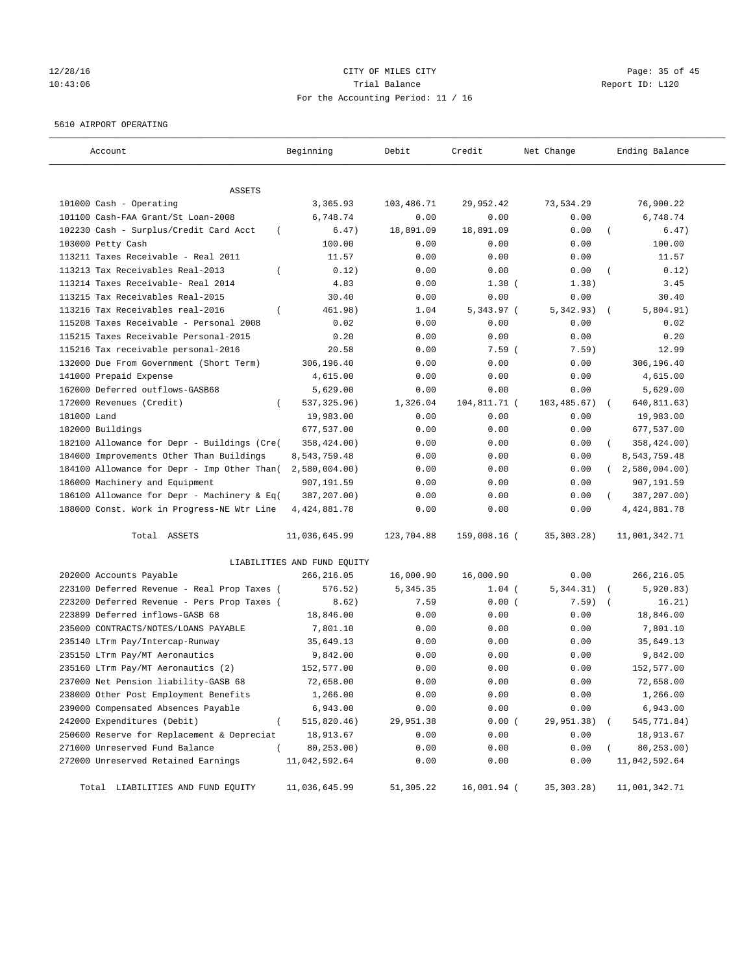# 12/28/16 Page: 35 of 45 10:43:06 Trial Balance Report ID: L120 For the Accounting Period: 11 / 16

#### 5610 AIRPORT OPERATING

| Account                                            | Beginning                   | Debit      | Credit       | Net Change   | Ending Balance            |
|----------------------------------------------------|-----------------------------|------------|--------------|--------------|---------------------------|
| ASSETS                                             |                             |            |              |              |                           |
| 101000 Cash - Operating                            | 3,365.93                    | 103,486.71 | 29,952.42    | 73,534.29    | 76,900.22                 |
| 101100 Cash-FAA Grant/St Loan-2008                 | 6,748.74                    | 0.00       | 0.00         | 0.00         | 6,748.74                  |
| 102230 Cash - Surplus/Credit Card Acct<br>$\left($ | 6.47)                       | 18,891.09  | 18,891.09    | 0.00         | 6.47)                     |
| 103000 Petty Cash                                  | 100.00                      | 0.00       | 0.00         | 0.00         | 100.00                    |
| 113211 Taxes Receivable - Real 2011                | 11.57                       | 0.00       | 0.00         | 0.00         | 11.57                     |
| 113213 Tax Receivables Real-2013                   | 0.12)                       | 0.00       | 0.00         | 0.00         | 0.12)                     |
| 113214 Taxes Receivable- Real 2014                 | 4.83                        | 0.00       | $1.38$ (     | 1.38)        | 3.45                      |
| 113215 Tax Receivables Real-2015                   | 30.40                       | 0.00       | 0.00         | 0.00         | 30.40                     |
| 113216 Tax Receivables real-2016<br>$\left($       | 461.98)                     | 1.04       | $5,343.97$ ( | 5,342.93)    | 5,804.91)                 |
| 115208 Taxes Receivable - Personal 2008            | 0.02                        | 0.00       | 0.00         | 0.00         | 0.02                      |
| 115215 Taxes Receivable Personal-2015              | 0.20                        | 0.00       | 0.00         | 0.00         | 0.20                      |
| 115216 Tax receivable personal-2016                | 20.58                       | 0.00       | $7.59$ (     | 7.59)        | 12.99                     |
| 132000 Due From Government (Short Term)            | 306,196.40                  | 0.00       | 0.00         | 0.00         | 306,196.40                |
| 141000 Prepaid Expense                             | 4,615.00                    | 0.00       | 0.00         | 0.00         | 4,615.00                  |
| 162000 Deferred outflows-GASB68                    | 5,629.00                    | 0.00       | 0.00         | 0.00         | 5,629.00                  |
| 172000 Revenues (Credit)                           | 537, 325.96)                | 1,326.04   | 104,811.71 ( | 103,485.67)  | 640,811.63)<br>$\sqrt{2}$ |
| 181000 Land                                        | 19,983.00                   | 0.00       | 0.00         | 0.00         | 19,983.00                 |
| 182000 Buildings                                   | 677,537.00                  | 0.00       | 0.00         | 0.00         | 677,537.00                |
| 182100 Allowance for Depr - Buildings (Cre(        | 358,424.00)                 | 0.00       | 0.00         | 0.00         | 358,424.00)               |
| 184000 Improvements Other Than Buildings           | 8,543,759.48                | 0.00       | 0.00         | 0.00         | 8,543,759.48              |
| 184100 Allowance for Depr - Imp Other Than(        | 2,580,004.00)               | 0.00       | 0.00         | 0.00         | 2,580,004.00              |
| 186000 Machinery and Equipment                     | 907,191.59                  | 0.00       | 0.00         | 0.00         | 907,191.59                |
| 186100 Allowance for Depr - Machinery & Eq(        | 387,207.00)                 | 0.00       | 0.00         | 0.00         | 387,207.00)               |
| 188000 Const. Work in Progress-NE Wtr Line         | 4, 424, 881. 78             | 0.00       | 0.00         | 0.00         | 4, 424, 881.78            |
| Total ASSETS                                       | 11,036,645.99               | 123,704.88 | 159,008.16 ( | 35, 303. 28) | 11,001,342.71             |
|                                                    | LIABILITIES AND FUND EQUITY |            |              |              |                           |
| 202000 Accounts Payable                            | 266,216.05                  | 16,000.90  | 16,000.90    | 0.00         | 266,216.05                |
| 223100 Deferred Revenue - Real Prop Taxes (        | 576.52)                     | 5,345.35   | $1.04$ (     | 5,344.31)    | 5,920.83)                 |
| 223200 Deferred Revenue - Pers Prop Taxes (        | 8.62)                       | 7.59       | 0.00(        | 7.59)        | 16.21)                    |
| 223899 Deferred inflows-GASB 68                    | 18,846.00                   | 0.00       | 0.00         | 0.00         | 18,846.00                 |
| 235000 CONTRACTS/NOTES/LOANS PAYABLE               | 7,801.10                    | 0.00       | 0.00         | 0.00         | 7,801.10                  |
| 235140 LTrm Pay/Intercap-Runway                    | 35,649.13                   | 0.00       | 0.00         | 0.00         | 35,649.13                 |
| 235150 LTrm Pay/MT Aeronautics                     | 9,842.00                    | 0.00       | 0.00         | 0.00         | 9,842.00                  |
| 235160 LTrm Pay/MT Aeronautics (2)                 | 152,577.00                  | 0.00       | 0.00         | 0.00         | 152,577.00                |
| 237000 Net Pension liability-GASB 68               | 72,658.00                   | 0.00       | 0.00         | 0.00         | 72,658.00                 |
| 238000 Other Post Employment Benefits              | 1,266.00                    | 0.00       | 0.00         | 0.00         | 1,266.00                  |
| 239000 Compensated Absences Payable                | 6,943.00                    | 0.00       | 0.00         | 0.00         | 6,943.00                  |
| 242000 Expenditures (Debit)<br>$\overline{(\ }$    | 515,820.46)                 | 29,951.38  | 0.00(        | 29,951.38)   | 545,771.84)               |
| 250600 Reserve for Replacement & Depreciat         | 18,913.67                   | 0.00       | 0.00         | 0.00         | 18,913.67                 |
| 271000 Unreserved Fund Balance<br>$\left($         | 80,253.00)                  | 0.00       | 0.00         | 0.00         | 80,253.00)                |
| 272000 Unreserved Retained Earnings                | 11,042,592.64               | 0.00       | 0.00         | 0.00         | 11,042,592.64             |
| Total LIABILITIES AND FUND EQUITY                  | 11,036,645.99               | 51,305.22  | 16,001.94 (  | 35, 303. 28) | 11,001,342.71             |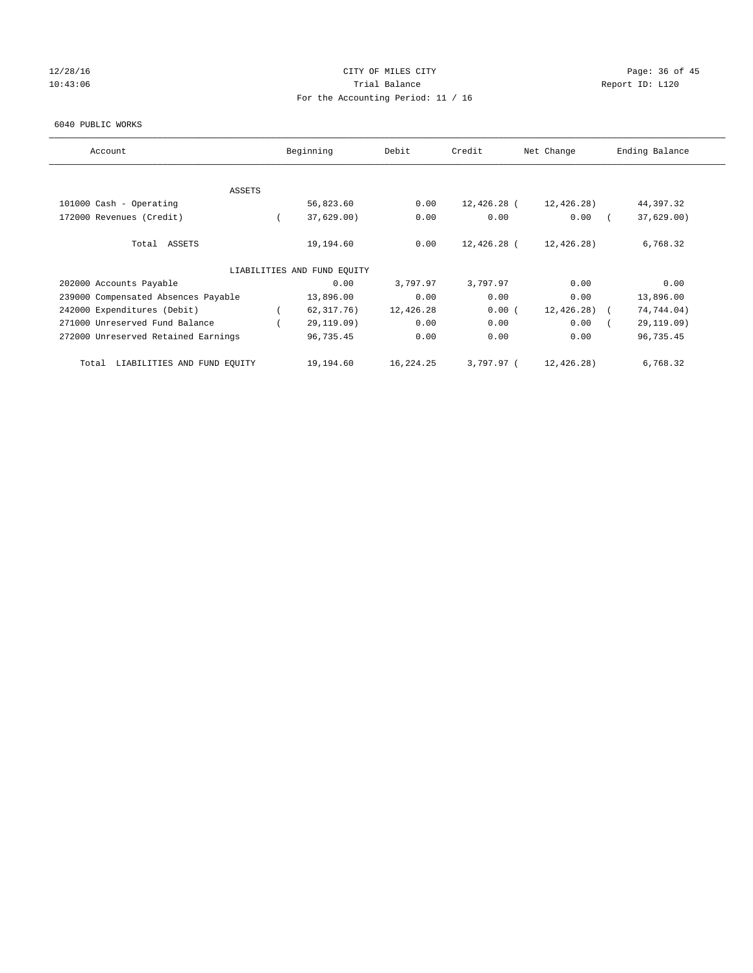# 12/28/16 Page: 36 of 45 10:43:06 Report ID: L120 For the Accounting Period: 11 / 16

#### 6040 PUBLIC WORKS

| Account                              | Beginning                   | Debit     | Credit       | Net Change    | Ending Balance |
|--------------------------------------|-----------------------------|-----------|--------------|---------------|----------------|
|                                      |                             |           |              |               |                |
| ASSETS<br>101000 Cash - Operating    | 56,823.60                   | 0.00      | 12,426.28 (  | 12,426.28)    | 44,397.32      |
|                                      |                             |           |              |               |                |
| 172000 Revenues (Credit)             | 37,629.00)                  | 0.00      | 0.00         | 0.00          | 37,629.00      |
| Total ASSETS                         | 19,194.60                   | 0.00      | 12,426.28 (  | 12,426.28)    | 6,768.32       |
|                                      | LIABILITIES AND FUND EQUITY |           |              |               |                |
| 202000 Accounts Payable              | 0.00                        | 3,797.97  | 3,797.97     | 0.00          | 0.00           |
| 239000 Compensated Absences Payable  | 13,896.00                   | 0.00      | 0.00         | 0.00          | 13,896.00      |
| 242000 Expenditures (Debit)          | 62, 317, 76)                | 12,426.28 | 0.00(        | $12,426.28$ ( | 74,744.04)     |
| 271000 Unreserved Fund Balance       | 29,119.09)                  | 0.00      | 0.00         | 0.00          | 29,119.09)     |
| 272000 Unreserved Retained Earnings  | 96,735.45                   | 0.00      | 0.00         | 0.00          | 96,735.45      |
| LIABILITIES AND FUND EQUITY<br>Total | 19,194.60                   | 16,224.25 | $3.797.97$ ( | 12,426.28)    | 6,768.32       |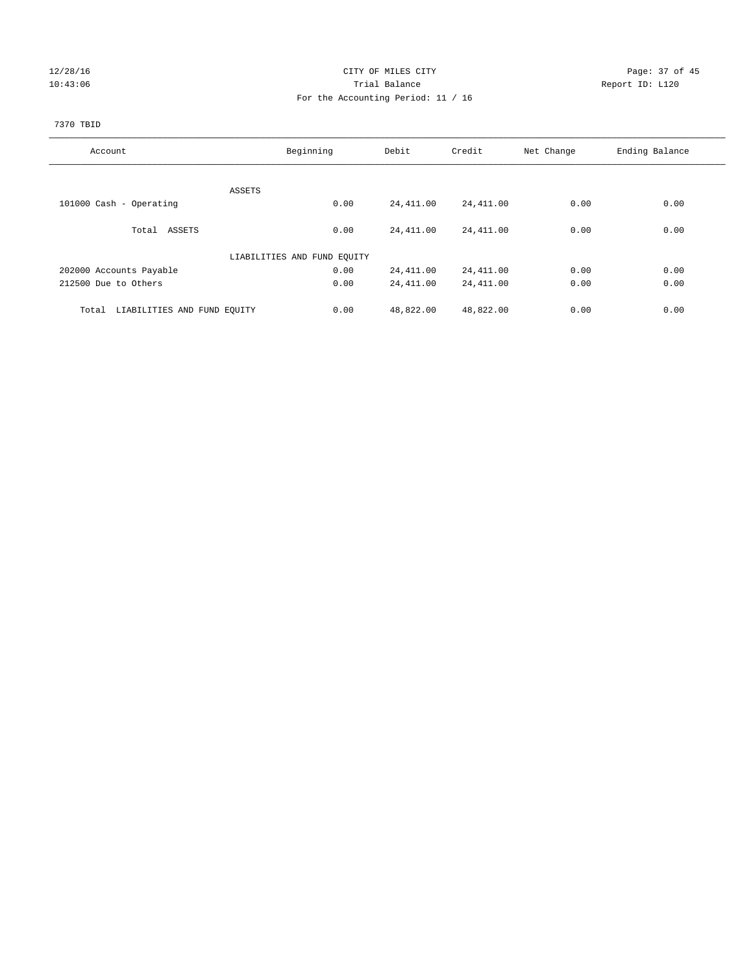# 12/28/16 Page: 37 of 45 10:43:06 Trial Balance Report ID: L120 For the Accounting Period: 11 / 16

# 7370 TBID

| Account                              | Beginning                   | Debit     | Credit    | Net Change | Ending Balance |
|--------------------------------------|-----------------------------|-----------|-----------|------------|----------------|
|                                      |                             |           |           |            |                |
|                                      | ASSETS                      |           |           |            |                |
| 101000 Cash - Operating              | 0.00                        | 24,411.00 | 24,411.00 | 0.00       | 0.00           |
|                                      |                             |           |           |            |                |
| Total ASSETS                         | 0.00                        | 24,411.00 | 24,411.00 | 0.00       | 0.00           |
|                                      | LIABILITIES AND FUND EQUITY |           |           |            |                |
| 202000 Accounts Payable              | 0.00                        | 24,411.00 | 24,411.00 | 0.00       | 0.00           |
| 212500 Due to Others                 | 0.00                        | 24,411.00 | 24,411.00 | 0.00       | 0.00           |
|                                      |                             |           |           |            |                |
| LIABILITIES AND FUND EQUITY<br>Total | 0.00                        | 48,822.00 | 48,822.00 | 0.00       | 0.00           |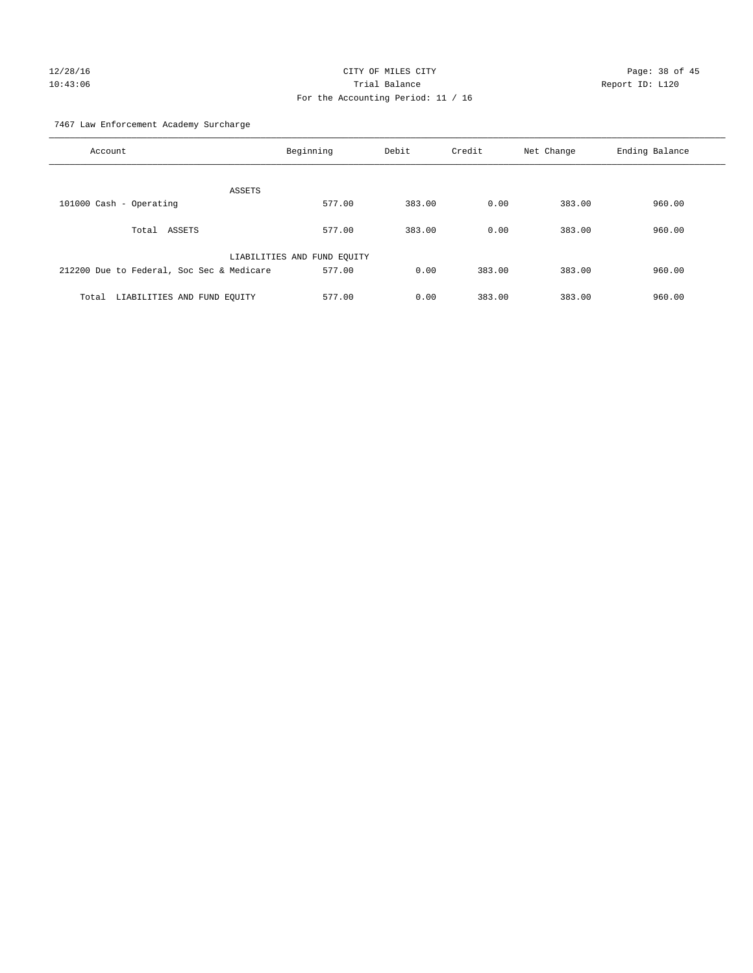# 12/28/16 Page: 38 of 45 10:43:06 Trial Balance Report ID: L120 For the Accounting Period: 11 / 16

7467 Law Enforcement Academy Surcharge

| Account                                   | Beginning                   | Debit  | Credit | Net Change | Ending Balance |
|-------------------------------------------|-----------------------------|--------|--------|------------|----------------|
| ASSETS                                    |                             |        |        |            |                |
| 101000 Cash - Operating                   | 577.00                      | 383.00 | 0.00   | 383.00     | 960.00         |
| Total ASSETS                              | 577.00                      | 383.00 | 0.00   | 383.00     | 960.00         |
|                                           | LIABILITIES AND FUND EQUITY |        |        |            |                |
| 212200 Due to Federal, Soc Sec & Medicare | 577.00                      | 0.00   | 383.00 | 383.00     | 960.00         |
| LIABILITIES AND FUND EQUITY<br>Total      | 577.00                      | 0.00   | 383.00 | 383.00     | 960.00         |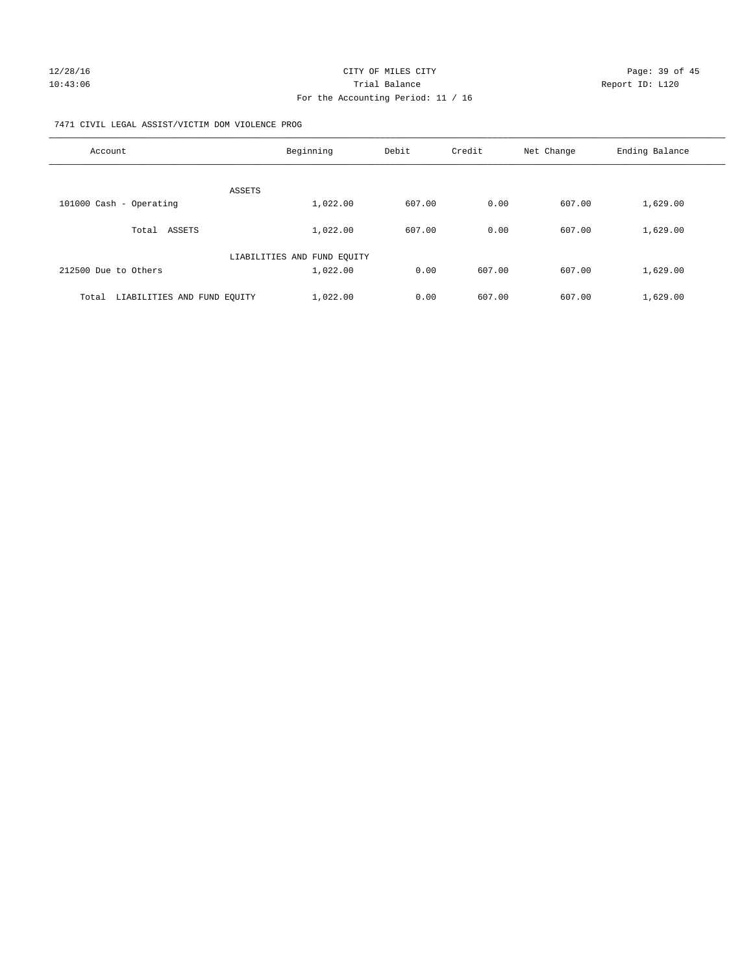### 7471 CIVIL LEGAL ASSIST/VICTIM DOM VIOLENCE PROG

| Account                              | Beginning                   | Debit  | Credit | Net Change | Ending Balance |
|--------------------------------------|-----------------------------|--------|--------|------------|----------------|
| ASSETS                               |                             |        |        |            |                |
| 101000 Cash - Operating              | 1,022.00                    | 607.00 | 0.00   | 607.00     | 1,629.00       |
| Total ASSETS                         | 1,022.00                    | 607.00 | 0.00   | 607.00     | 1,629.00       |
|                                      | LIABILITIES AND FUND EQUITY |        |        |            |                |
| 212500 Due to Others                 | 1,022.00                    | 0.00   | 607.00 | 607.00     | 1,629.00       |
| LIABILITIES AND FUND EQUITY<br>Total | 1,022.00                    | 0.00   | 607.00 | 607.00     | 1,629.00       |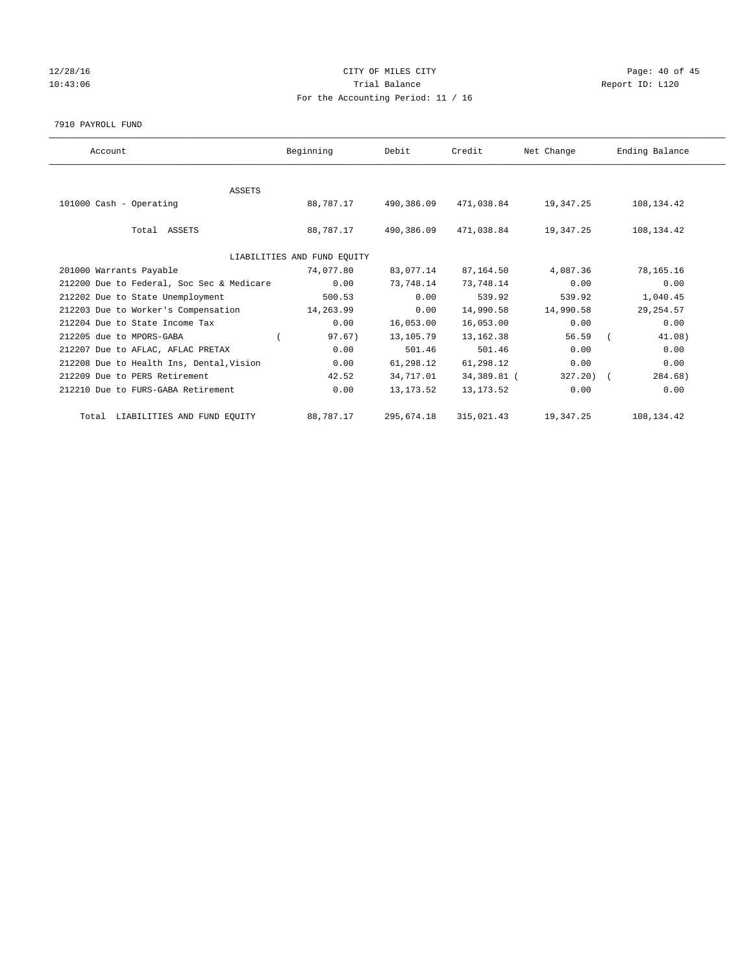# 12/28/16 Page: 40 of 45 10:43:06 Report ID: L120 For the Accounting Period: 11 / 16

#### 7910 PAYROLL FUND

| Account                                   | Beginning                   | Debit      | Credit      | Net Change | Ending Balance |
|-------------------------------------------|-----------------------------|------------|-------------|------------|----------------|
|                                           |                             |            |             |            |                |
| ASSETS                                    |                             |            |             |            |                |
| 101000 Cash - Operating                   | 88,787.17                   | 490,386.09 | 471,038.84  | 19,347.25  | 108,134.42     |
| Total ASSETS                              | 88,787.17                   | 490,386.09 | 471,038.84  | 19,347.25  | 108,134.42     |
|                                           | LIABILITIES AND FUND EQUITY |            |             |            |                |
| 201000 Warrants Payable                   | 74,077.80                   | 83,077.14  | 87,164.50   | 4,087.36   | 78,165.16      |
| 212200 Due to Federal, Soc Sec & Medicare | 0.00                        | 73,748.14  | 73,748.14   | 0.00       | 0.00           |
| 212202 Due to State Unemployment          | 500.53                      | 0.00       | 539.92      | 539.92     | 1,040.45       |
| 212203 Due to Worker's Compensation       | 14,263.99                   | 0.00       | 14,990.58   | 14,990.58  | 29, 254.57     |
| 212204 Due to State Income Tax            | 0.00                        | 16,053.00  | 16,053.00   | 0.00       | 0.00           |
| 212205 due to MPORS-GABA                  | 97.67)                      | 13,105.79  | 13, 162.38  | 56.59      | 41.08)         |
| 212207 Due to AFLAC, AFLAC PRETAX         | 0.00                        | 501.46     | 501.46      | 0.00       | 0.00           |
| 212208 Due to Health Ins, Dental, Vision  | 0.00                        | 61,298.12  | 61,298.12   | 0.00       | 0.00           |
| 212209 Due to PERS Retirement             | 42.52                       | 34,717.01  | 34,389.81 ( | 327.20) (  | 284.68)        |
| 212210 Due to FURS-GABA Retirement        | 0.00                        | 13, 173.52 | 13, 173. 52 | 0.00       | 0.00           |
| Total LIABILITIES AND FUND EQUITY         | 88,787.17                   | 295,674.18 | 315,021.43  | 19,347.25  | 108,134.42     |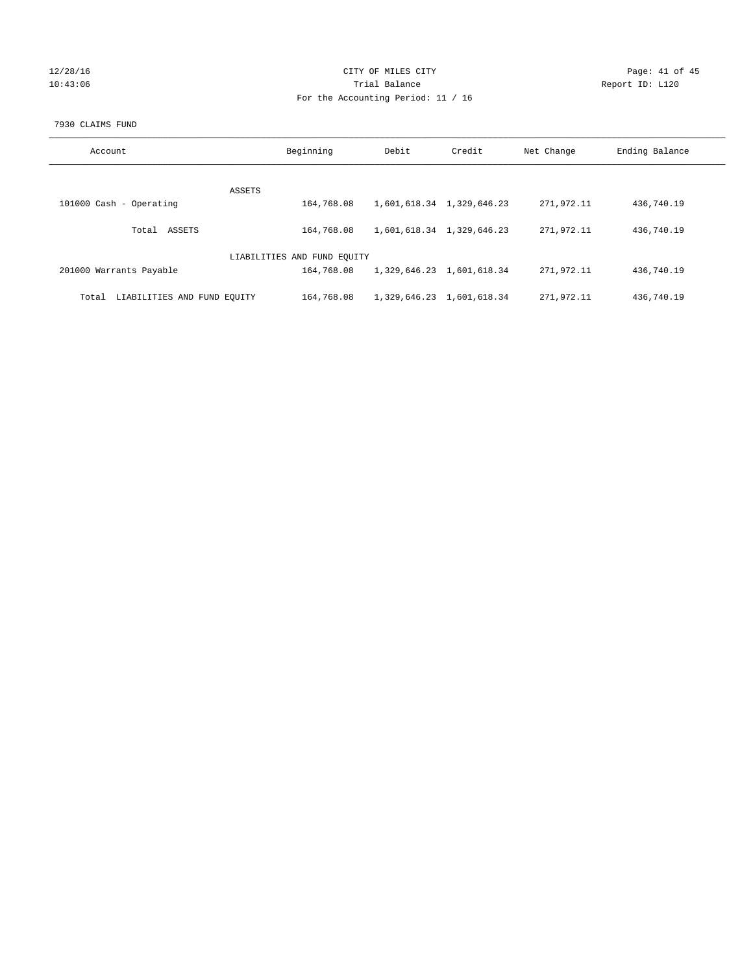# 12/28/16 Page: 41 of 45 10:43:06 Report ID: L120 For the Accounting Period: 11 / 16

#### 7930 CLAIMS FUND

| Account                              | Beginning                   | Debit | Credit                    | Net Change | Ending Balance |
|--------------------------------------|-----------------------------|-------|---------------------------|------------|----------------|
| ASSETS                               |                             |       |                           |            |                |
| 101000 Cash - Operating              | 164,768.08                  |       | 1,601,618.34 1,329,646.23 | 271,972.11 | 436,740.19     |
| ASSETS<br>Total                      | 164,768.08                  |       | 1,601,618.34 1,329,646.23 | 271,972.11 | 436,740.19     |
|                                      | LIABILITIES AND FUND EQUITY |       |                           |            |                |
| 201000 Warrants Payable              | 164,768.08                  |       | 1,329,646.23 1,601,618.34 | 271,972.11 | 436,740.19     |
| LIABILITIES AND FUND EQUITY<br>Total | 164,768.08                  |       | 1,329,646.23 1,601,618.34 | 271,972.11 | 436,740.19     |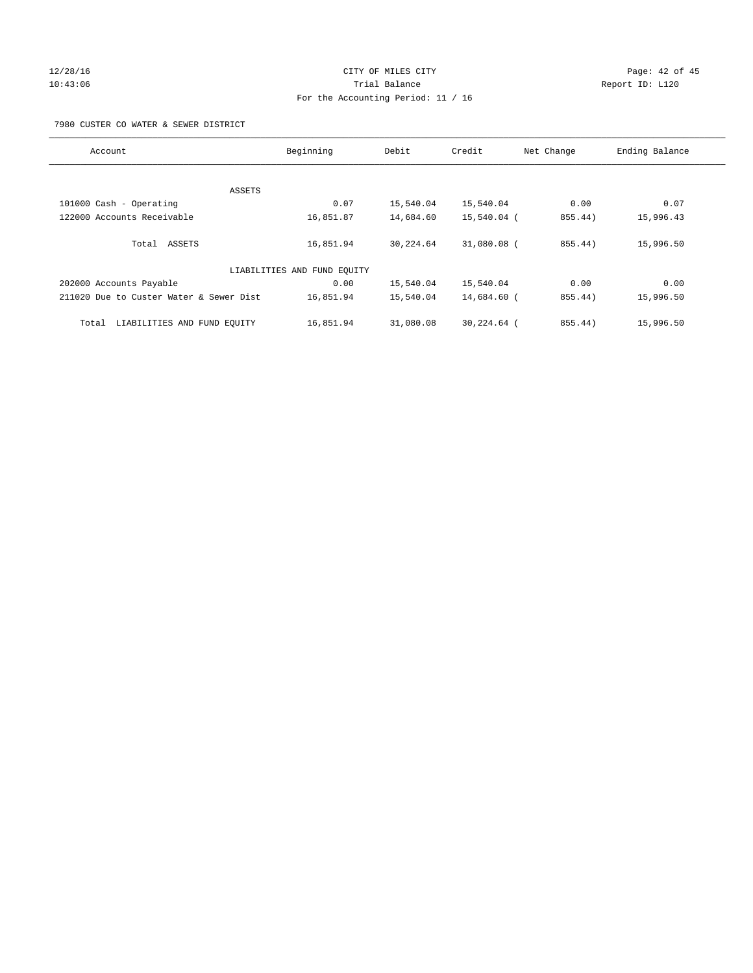# 12/28/16 Page: 42 of 45 10:43:06 Trial Balance Report ID: L120 For the Accounting Period: 11 / 16

7980 CUSTER CO WATER & SEWER DISTRICT

| Account                                 | Beginning                   | Debit     | Credit      | Net Change | Ending Balance |
|-----------------------------------------|-----------------------------|-----------|-------------|------------|----------------|
|                                         |                             |           |             |            |                |
| ASSETS                                  |                             |           |             |            |                |
| 101000 Cash - Operating                 | 0.07                        | 15,540.04 | 15,540.04   | 0.00       | 0.07           |
| 122000 Accounts Receivable              | 16,851.87                   | 14,684.60 | 15,540.04 ( | 855.44)    | 15,996.43      |
| Total ASSETS                            | 16,851.94                   | 30,224.64 | 31,080.08 ( | 855.44)    | 15,996.50      |
|                                         | LIABILITIES AND FUND EQUITY |           |             |            |                |
| 202000 Accounts Payable                 | 0.00                        | 15,540.04 | 15,540.04   | 0.00       | 0.00           |
| 211020 Due to Custer Water & Sewer Dist | 16,851.94                   | 15,540.04 | 14,684.60 ( | 855.44)    | 15,996.50      |
| LIABILITIES AND FUND EOUITY<br>Total    | 16,851.94                   | 31,080.08 | 30,224.64 ( | 855.44)    | 15,996.50      |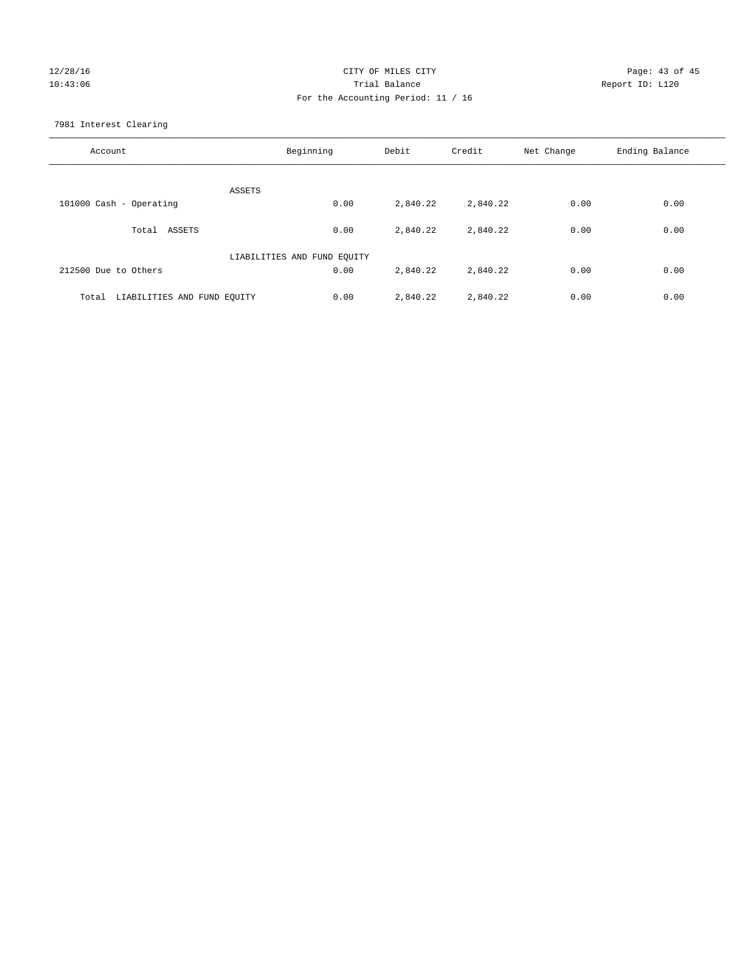# 12/28/16 Page: 43 of 45 10:43:06 Trial Balance Report ID: L120 For the Accounting Period: 11 / 16

7981 Interest Clearing

| Account                           | Beginning                   | Debit    | Credit   | Net Change | Ending Balance |
|-----------------------------------|-----------------------------|----------|----------|------------|----------------|
|                                   | ASSETS                      |          |          |            |                |
| 101000 Cash - Operating           | 0.00                        | 2,840.22 | 2,840.22 | 0.00       | 0.00           |
| Total ASSETS                      | 0.00                        | 2,840.22 | 2,840.22 | 0.00       | 0.00           |
|                                   | LIABILITIES AND FUND EQUITY |          |          |            |                |
| 212500 Due to Others              | 0.00                        | 2,840.22 | 2,840.22 | 0.00       | 0.00           |
| Total LIABILITIES AND FUND EQUITY | 0.00                        | 2,840.22 | 2,840.22 | 0.00       | 0.00           |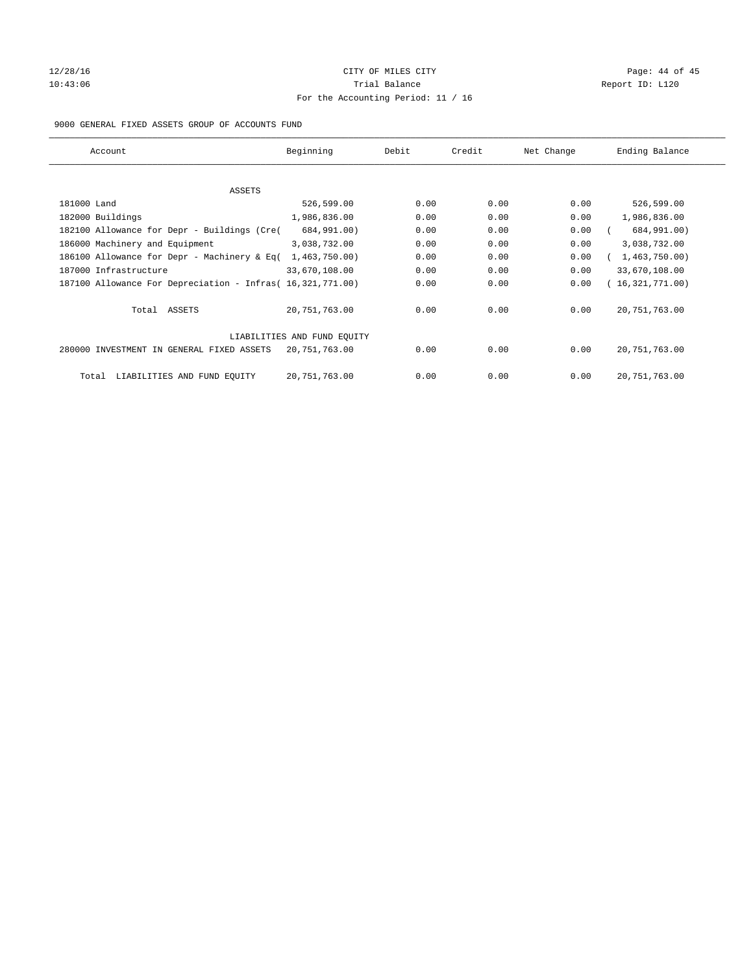# 12/28/16 Page: 44 of 45 10:43:06 Report ID: L120 For the Accounting Period: 11 / 16

#### 9000 GENERAL FIXED ASSETS GROUP OF ACCOUNTS FUND

| Account                                                    | Beginning                   | Debit | Credit | Net Change | Ending Balance  |
|------------------------------------------------------------|-----------------------------|-------|--------|------------|-----------------|
| ASSETS                                                     |                             |       |        |            |                 |
| 181000 Land                                                | 526,599.00                  | 0.00  | 0.00   | 0.00       | 526,599.00      |
| 182000 Buildings                                           | 1,986,836.00                | 0.00  | 0.00   | 0.00       | 1,986,836.00    |
| 182100 Allowance for Depr - Buildings (Cre(                | 684,991.00)                 | 0.00  | 0.00   | 0.00       | 684,991.00)     |
| 186000 Machinery and Equipment                             | 3,038,732.00                | 0.00  | 0.00   | 0.00       | 3,038,732.00    |
| 186100 Allowance for Depr - Machinery & Eq(                | 1,463,750.00)               | 0.00  | 0.00   | 0.00       | 1,463,750.00    |
| 187000 Infrastructure                                      | 33,670,108.00               | 0.00  | 0.00   | 0.00       | 33,670,108.00   |
| 187100 Allowance For Depreciation - Infras( 16,321,771.00) |                             | 0.00  | 0.00   | 0.00       | 16,321,771.00)  |
| Total ASSETS                                               | 20,751,763.00               | 0.00  | 0.00   | 0.00       | 20, 751, 763.00 |
|                                                            | LIABILITIES AND FUND EQUITY |       |        |            |                 |
| 280000 INVESTMENT IN GENERAL FIXED ASSETS                  | 20,751,763.00               | 0.00  | 0.00   | 0.00       | 20, 751, 763.00 |
| LIABILITIES AND FUND EQUITY<br>Total                       | 20, 751, 763.00             | 0.00  | 0.00   | 0.00       | 20, 751, 763.00 |